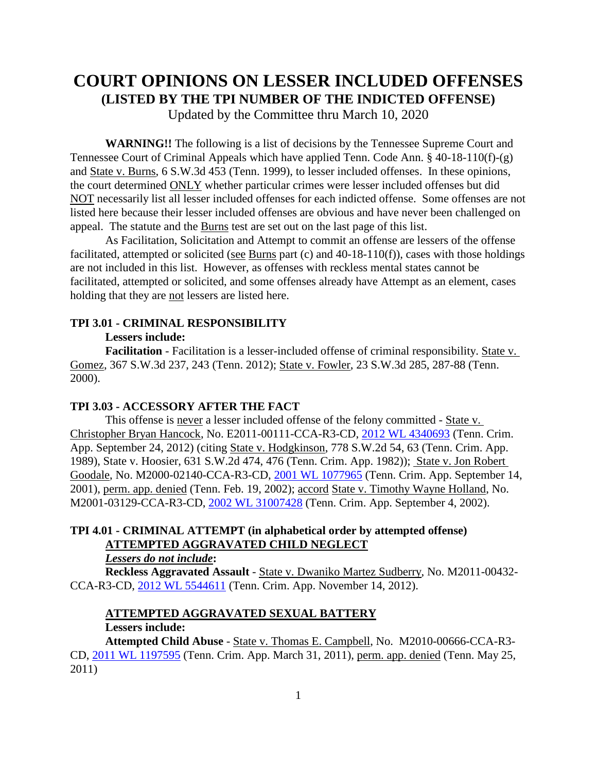# **COURT OPINIONS ON LESSER INCLUDED OFFENSES (LISTED BY THE TPI NUMBER OF THE INDICTED OFFENSE)**

Updated by the Committee thru March 10, 2020

**WARNING!!** The following is a list of decisions by the Tennessee Supreme Court and Tennessee Court of Criminal Appeals which have applied Tenn. Code Ann. § 40-18-110(f)-(g) and State v. Burns, 6 S.W.3d 453 (Tenn. 1999), to lesser included offenses. In these opinions, the court determined ONLY whether particular crimes were lesser included offenses but did NOT necessarily list all lesser included offenses for each indicted offense. Some offenses are not listed here because their lesser included offenses are obvious and have never been challenged on appeal. The statute and the Burns test are set out on the last page of this list.

As Facilitation, Solicitation and Attempt to commit an offense are lessers of the offense facilitated, attempted or solicited (see Burns part (c) and 40-18-110(f)), cases with those holdings are not included in this list. However, as offenses with reckless mental states cannot be facilitated, attempted or solicited, and some offenses already have Attempt as an element, cases holding that they are not lessers are listed here.

### **TPI 3.01 - CRIMINAL RESPONSIBILITY**

#### **Lessers include:**

**Facilitation** - Facilitation is a lesser-included offense of criminal responsibility. State v. Gomez, 367 S.W.3d 237, 243 (Tenn. 2012); State v. Fowler, 23 S.W.3d 285, 287-88 (Tenn. 2000).

#### **TPI 3.03 - ACCESSORY AFTER THE FACT**

This offense is never a lesser included offense of the felony committed - State v. Christopher Bryan Hancock, No. E2011-00111-CCA-R3-CD, [2012 WL 4340693](https://1.next.westlaw.com/Document/Ief1de58406d911e2b343c837631e1747/View/FullText.html?transitionType=UniqueDocItem&contextData=(sc.Search)&userEnteredCitation=2012+WL+4340693) (Tenn. Crim. App. September 24, 2012) (citing State v. Hodgkinson, 778 S.W.2d 54, 63 (Tenn. Crim. App. 1989), State v. Hoosier, 631 S.W.2d 474, 476 (Tenn. Crim. App. 1982)); State v. Jon Robert Goodale, No. M2000-02140-CCA-R3-CD, [2001 WL 1077965](https://1.next.westlaw.com/Document/I6a6a03f1ea7b11d983e7e9deff98dc6f/View/FullText.html?transitionType=UniqueDocItem&contextData=(sc.UserEnteredCitation)&userEnteredCitation=2001+WL+1077965) (Tenn. Crim. App. September 14, 2001), perm. app. denied (Tenn. Feb. 19, 2002); accord State v. Timothy Wayne Holland, No. M2001-03129-CCA-R3-CD, [2002 WL 31007428](https://1.next.westlaw.com/Document/I5d0f6223ea9b11d99439b076ef9ec4de/View/FullText.html?transitionType=UniqueDocItem&contextData=(sc.UserEnteredCitation)&userEnteredCitation=2002+WL+31007428) (Tenn. Crim. App. September 4, 2002).

### **TPI 4.01 - CRIMINAL ATTEMPT (in alphabetical order by attempted offense) ATTEMPTED AGGRAVATED CHILD NEGLECT**

# *Lessers do not include***:**

**Reckless Aggravated Assault** - State v. Dwaniko Martez Sudberry, No. M2011-00432- CCA-R3-CD, [2012 WL 5544611](https://1.next.westlaw.com/Document/I9c8514832fa611e2900d8cbbe5df030a/View/FullText.html?transitionType=UniqueDocItem&contextData=(sc.UserEnteredCitation)&userEnteredCitation=2012+WL+5544611) (Tenn. Crim. App. November 14, 2012).

# **ATTEMPTED AGGRAVATED SEXUAL BATTERY**

### **Lessers include:**

**Attempted Child Abuse** - State v. Thomas E. Campbell, No. M2010-00666-CCA-R3- CD, [2011 WL 1197595](https://1.next.westlaw.com/Document/Ibc7093db5c6d11e097a4a9f0a6e10efc/View/FullText.html?transitionType=UniqueDocItem&contextData=(sc.Search)&userEnteredCitation=2011+WL+1197595) (Tenn. Crim. App. March 31, 2011), perm. app. denied (Tenn. May 25, 2011)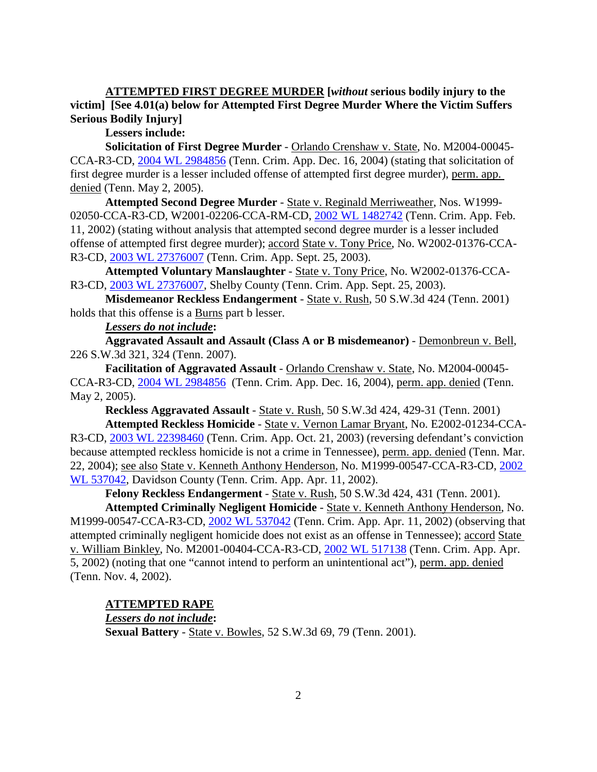**ATTEMPTED FIRST DEGREE MURDER [***without* **serious bodily injury to the victim] [See 4.01(a) below for Attempted First Degree Murder Where the Victim Suffers Serious Bodily Injury]**

**Lessers include:**

**Solicitation of First Degree Murder** - Orlando Crenshaw v. State, No. M2004-00045- CCA-R3-CD, 2004 [WL 2984856](https://1.next.westlaw.com/Document/I6ac1babbea9811d983e7e9deff98dc6f/View/FullText.html?transitionType=UniqueDocItem&contextData=(sc.Search)&userEnteredCitation=2004+WL+2984856) (Tenn. Crim. App. Dec. 16, 2004) (stating that solicitation of first degree murder is a lesser included offense of attempted first degree murder), perm. app. denied (Tenn. May 2, 2005).

**Attempted Second Degree Murder** - State v. Reginald Merriweather, Nos. W1999- 02050-CCA-R3-CD, W2001-02206-CCA-RM-CD, [2002 WL 1482742](https://1.next.westlaw.com/Document/I8b83aac4ea9c11d98ac8f235252e36df/View/FullText.html?transitionType=UniqueDocItem&contextData=(sc.Search)&userEnteredCitation=2002+WL+1482742) (Tenn. Crim. App. Feb. 11, 2002) (stating without analysis that attempted second degree murder is a lesser included offense of attempted first degree murder); accord State v. Tony Price, No. W2002-01376-CCA-R3-CD, [2003 WL 27376007](https://1.next.westlaw.com/Document/Id79ef1201bc311e7afe7804507f6db3f/View/FullText.html?transitionType=UniqueDocItem&contextData=(sc.Default)&userEnteredCitation=2003+WL+27376007) (Tenn. Crim. App. Sept. 25, 2003).

**Attempted Voluntary Manslaughter** - State v. Tony Price, No. W2002-01376-CCA-R3-CD, 2003 WL [27376007,](https://1.next.westlaw.com/Document/Id79ef1201bc311e7afe7804507f6db3f/View/FullText.html?transitionType=UniqueDocItem&contextData=(sc.Default)&userEnteredCitation=2003+WL+27376007) Shelby County (Tenn. Crim. App. Sept. 25, 2003).

**Misdemeanor Reckless Endangerment** - State v. Rush, 50 S.W.3d 424 (Tenn. 2001) holds that this offense is a Burns part b lesser.

#### *Lessers do not include***:**

**Aggravated Assault and Assault (Class A or B misdemeanor)** - Demonbreun v. Bell, 226 S.W.3d 321, 324 (Tenn. 2007).

**Facilitation of Aggravated Assault** - Orlando Crenshaw v. State, No. M2004-00045- CCA-R3-CD, [2004 WL 2984856](https://1.next.westlaw.com/Document/I6ac1babbea9811d983e7e9deff98dc6f/View/FullText.html?transitionType=UniqueDocItem&contextData=(sc.Search)&userEnteredCitation=2004+WL+2984856) (Tenn. Crim. App. Dec. 16, 2004), perm. app. denied (Tenn. May 2, 2005).

**Reckless Aggravated Assault** - State v. Rush, 50 S.W.3d 424, 429-31 (Tenn. 2001)

**Attempted Reckless Homicide** - State v. Vernon Lamar Bryant, No. E2002-01234-CCA-R3-CD, [2003 WL 22398460](https://1.next.westlaw.com/Document/I6ade9184ea9811d983e7e9deff98dc6f/View/FullText.html?transitionType=UniqueDocItem&contextData=(sc.Search)&userEnteredCitation=2003+WL+22398460) (Tenn. Crim. App. Oct. 21, 2003) (reversing defendant's conviction because attempted reckless homicide is not a crime in Tennessee), perm. app. denied (Tenn. Mar. 22, 2004); see also State v. Kenneth Anthony Henderson, No. M1999-00547-CCA-R3-CD, [2002](https://1.next.westlaw.com/Document/I5d28b68aea9b11d99439b076ef9ec4de/View/FullText.html?transitionType=UniqueDocItem&contextData=(sc.Search)&userEnteredCitation=2002+WL+537042)  [WL 537042,](https://1.next.westlaw.com/Document/I5d28b68aea9b11d99439b076ef9ec4de/View/FullText.html?transitionType=UniqueDocItem&contextData=(sc.Search)&userEnteredCitation=2002+WL+537042) Davidson County (Tenn. Crim. App. Apr. 11, 2002).

**Felony Reckless Endangerment** - State v. Rush, 50 S.W.3d 424, 431 (Tenn. 2001).

**Attempted Criminally Negligent Homicide** - State v. Kenneth Anthony Henderson, No. M1999-00547-CCA-R3-CD, [2002 WL 537042](https://1.next.westlaw.com/Document/I5d28b68aea9b11d99439b076ef9ec4de/View/FullText.html?transitionType=UniqueDocItem&contextData=(sc.Search)&userEnteredCitation=2002+WL+537042) (Tenn. Crim. App. Apr. 11, 2002) (observing that attempted criminally negligent homicide does not exist as an offense in Tennessee); accord State v. William Binkley, No. M2001-00404-CCA-R3-CD, [2002 WL 517138](https://1.next.westlaw.com/Document/I6abe866aea9811d983e7e9deff98dc6f/View/FullText.html?navigationPath=Search%2Fv3%2Fsearch%2Fresults%2Fnavigation%2Fi0ad740140000015b3f191608dc4f92a3%3FNav%3DCASE%26fragmentIdentifier%3DI6abe866aea9811d983e7e9deff98dc6f%26startIndex%3D1%26contextData%3D%2528sc.Search%2529%26transitionType%3DSearchItem&listSource=Search&listPageSource=d3034dba3960ae60e2600152971b09e8&list=CASE&rank=1&sessionScopeId=69b0169314d54bb8abc2d1202414eca523952ec6baa1fe2e86f5b7328ab2c6bb&originationContext=Search%20Result&transitionType=SearchItem&contextData=%28sc.Search%29) (Tenn. Crim. App. Apr. 5, 2002) (noting that one "cannot intend to perform an unintentional act"), perm. app. denied (Tenn. Nov. 4, 2002).

### **ATTEMPTED RAPE**

### *Lessers do not include***:**

**Sexual Battery** - State v. Bowles, 52 S.W.3d 69, 79 (Tenn. 2001).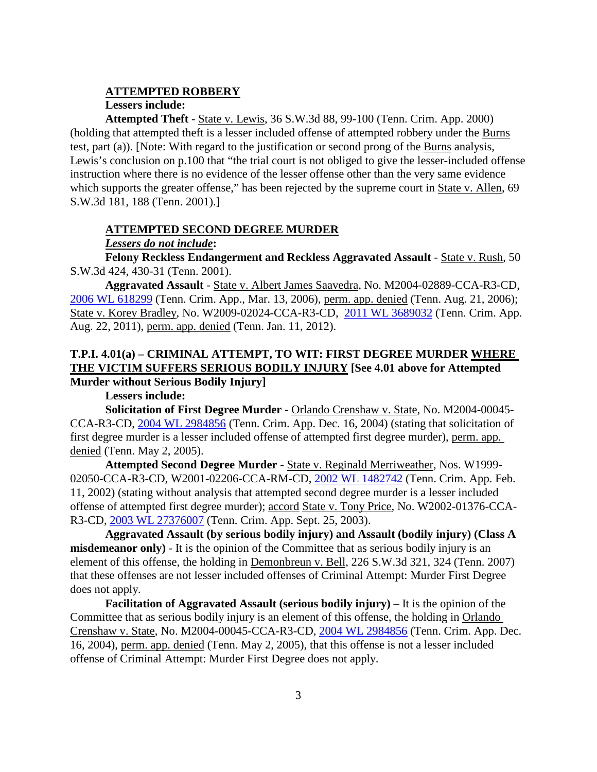#### **ATTEMPTED ROBBERY**

#### **Lessers include:**

**Attempted Theft** - State v. Lewis, 36 S.W.3d 88, 99-100 (Tenn. Crim. App. 2000) (holding that attempted theft is a lesser included offense of attempted robbery under the Burns test, part (a)). [Note: With regard to the justification or second prong of the Burns analysis, Lewis's conclusion on p.100 that "the trial court is not obliged to give the lesser-included offense instruction where there is no evidence of the lesser offense other than the very same evidence which supports the greater offense," has been rejected by the supreme court in State v. Allen, 69 S.W.3d 181, 188 (Tenn. 2001).]

#### **ATTEMPTED SECOND DEGREE MURDER**

### *Lessers do not include***:**

**Felony Reckless Endangerment and Reckless Aggravated Assault** - State v. Rush, 50 S.W.3d 424, 430-31 (Tenn. 2001).

**Aggravated Assault** - State v. Albert James Saavedra, No. M2004-02889-CCA-R3-CD, [2006 WL 618299](https://1.next.westlaw.com/Document/I7b23626eb2a711da8cccb4c14e983401/View/FullText.html?navigationPath=Search%2Fv3%2Fsearch%2Fresults%2Fnavigation%2Fi0ad740130000015b3f1d013a4fc96f37%3FNav%3DCASE%26fragmentIdentifier%3DI7b23626eb2a711da8cccb4c14e983401%26startIndex%3D1%26contextData%3D%2528sc.Search%2529%26transitionType%3DSearchItem&listSource=Search&listPageSource=7b4fef4ab6e04bbdb4a2c4f87b01136a&list=CASE&rank=1&sessionScopeId=69b0169314d54bb8abc2d1202414eca523952ec6baa1fe2e86f5b7328ab2c6bb&originationContext=Search%20Result&transitionType=SearchItem&contextData=%28sc.Search%29) (Tenn. Crim. App., Mar. 13, 2006), perm. app. denied (Tenn. Aug. 21, 2006); State v. Korey Bradley, No. W2009-02024-CCA-R3-CD, [2011 WL 3689032](https://1.next.westlaw.com/Document/I6376bc31ce5611e0a9e5bdc02ef2b18e/View/FullText.html?navigationPath=Search%2Fv3%2Fsearch%2Fresults%2Fnavigation%2Fi0ad740120000015b3f1ea738834d64d1%3FNav%3DCASE%26fragmentIdentifier%3DI6376bc31ce5611e0a9e5bdc02ef2b18e%26startIndex%3D1%26contextData%3D%2528sc.Search%2529%26transitionType%3DSearchItem&listSource=Search&listPageSource=dbcb1b04753758b0a0a13e2a88897d35&list=CASE&rank=1&sessionScopeId=69b0169314d54bb8abc2d1202414eca523952ec6baa1fe2e86f5b7328ab2c6bb&originationContext=Search%20Result&transitionType=SearchItem&contextData=%28sc.Search%29) (Tenn. Crim. App. Aug. 22, 2011), perm. app. denied (Tenn. Jan. 11, 2012).

### **T.P.I. 4.01(a) – CRIMINAL ATTEMPT, TO WIT: FIRST DEGREE MURDER WHERE THE VICTIM SUFFERS SERIOUS BODILY INJURY [See 4.01 above for Attempted Murder without Serious Bodily Injury]**

#### **Lessers include:**

**Solicitation of First Degree Murder -** Orlando Crenshaw v. State, No. M2004-00045- CCA-R3-CD, [2004 WL 2984856](https://1.next.westlaw.com/Document/I6ac1babbea9811d983e7e9deff98dc6f/View/FullText.html?transitionType=UniqueDocItem&contextData=(sc.Search)&userEnteredCitation=2004+WL+2984856) (Tenn. Crim. App. Dec. 16, 2004) (stating that solicitation of first degree murder is a lesser included offense of attempted first degree murder), perm. app. denied (Tenn. May 2, 2005).

**Attempted Second Degree Murder** - State v. Reginald Merriweather, Nos. W1999- 02050-CCA-R3-CD, W2001-02206-CCA-RM-CD, [2002 WL 1482742](https://1.next.westlaw.com/Document/I8b83aac4ea9c11d98ac8f235252e36df/View/FullText.html?transitionType=UniqueDocItem&contextData=(sc.Search)&userEnteredCitation=2002+WL+1482742) (Tenn. Crim. App. Feb. 11, 2002) (stating without analysis that attempted second degree murder is a lesser included offense of attempted first degree murder); accord State v. Tony Price, No. W2002-01376-CCA-R3-CD, [2003 WL 27376007](https://1.next.westlaw.com/Document/Id79ef1201bc311e7afe7804507f6db3f/View/FullText.html?transitionType=UniqueDocItem&contextData=(sc.Default)&userEnteredCitation=2003+WL+27376007) (Tenn. Crim. App. Sept. 25, 2003).

**Aggravated Assault (by serious bodily injury) and Assault (bodily injury) (Class A misdemeanor only**) - It is the opinion of the Committee that as serious bodily injury is an element of this offense, the holding in Demonbreun v. Bell, 226 S.W.3d 321, 324 (Tenn. 2007) that these offenses are not lesser included offenses of Criminal Attempt: Murder First Degree does not apply.

**Facilitation of Aggravated Assault (serious bodily injury)** – It is the opinion of the Committee that as serious bodily injury is an element of this offense, the holding in Orlando Crenshaw v. State, No. M2004-00045-CCA-R3-CD, [2004 WL 2984856](https://1.next.westlaw.com/Document/I6ac1babbea9811d983e7e9deff98dc6f/View/FullText.html?transitionType=UniqueDocItem&contextData=(sc.Search)&userEnteredCitation=2004+WL+2984856) (Tenn. Crim. App. Dec. 16, 2004), perm. app. denied (Tenn. May 2, 2005), that this offense is not a lesser included offense of Criminal Attempt: Murder First Degree does not apply.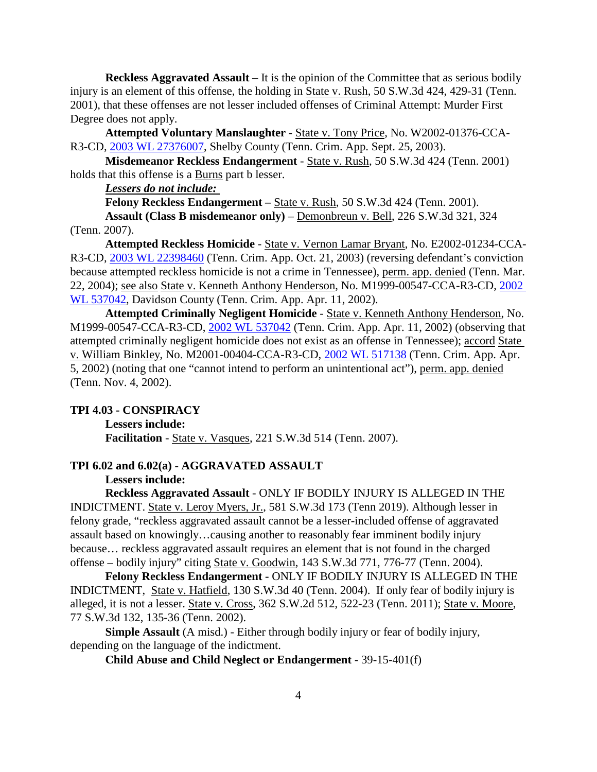**Reckless Aggravated Assault** – It is the opinion of the Committee that as serious bodily injury is an element of this offense, the holding in State v. Rush, 50 S.W.3d 424, 429-31 (Tenn. 2001), that these offenses are not lesser included offenses of Criminal Attempt: Murder First Degree does not apply.

**Attempted Voluntary Manslaughter** - State v. Tony Price, No. W2002-01376-CCA-R3-CD, [2003 WL 27376007,](https://1.next.westlaw.com/Document/Id79ef1201bc311e7afe7804507f6db3f/View/FullText.html?transitionType=UniqueDocItem&contextData=(sc.Default)&userEnteredCitation=2003+WL+27376007) Shelby County (Tenn. Crim. App. Sept. 25, 2003).

**Misdemeanor Reckless Endangerment** - State v. Rush, 50 S.W.3d 424 (Tenn. 2001) holds that this offense is a Burns part b lesser.

*Lessers do not include:* 

**Felony Reckless Endangerment** – State v. Rush, 50 S.W.3d 424 (Tenn. 2001). **Assault (Class B misdemeanor only)** – Demonbreun v. Bell, 226 S.W.3d 321, 324

(Tenn. 2007).

**Attempted Reckless Homicide** - State v. Vernon Lamar Bryant, No. E2002-01234-CCA-R3-CD, [2003 WL 22398460](https://1.next.westlaw.com/Document/I6ade9184ea9811d983e7e9deff98dc6f/View/FullText.html?transitionType=UniqueDocItem&contextData=(sc.Search)&userEnteredCitation=2003+WL+22398460) (Tenn. Crim. App. Oct. 21, 2003) (reversing defendant's conviction because attempted reckless homicide is not a crime in Tennessee), perm. app. denied (Tenn. Mar. 22, 2004); see also State v. Kenneth Anthony Henderson, No. M1999-00547-CCA-R3-CD, [2002](https://1.next.westlaw.com/Document/I5d28b68aea9b11d99439b076ef9ec4de/View/FullText.html?transitionType=UniqueDocItem&contextData=(sc.Search)&userEnteredCitation=2002+WL+537042)  [WL 537042,](https://1.next.westlaw.com/Document/I5d28b68aea9b11d99439b076ef9ec4de/View/FullText.html?transitionType=UniqueDocItem&contextData=(sc.Search)&userEnteredCitation=2002+WL+537042) Davidson County (Tenn. Crim. App. Apr. 11, 2002).

**Attempted Criminally Negligent Homicide** - State v. Kenneth Anthony Henderson, No. M1999-00547-CCA-R3-CD, [2002 WL 537042](https://1.next.westlaw.com/Document/I5d28b68aea9b11d99439b076ef9ec4de/View/FullText.html?transitionType=UniqueDocItem&contextData=(sc.Search)&userEnteredCitation=2002+WL+537042) (Tenn. Crim. App. Apr. 11, 2002) (observing that attempted criminally negligent homicide does not exist as an offense in Tennessee); accord State v. William Binkley, No. M2001-00404-CCA-R3-CD, [2002 WL 517138](https://1.next.westlaw.com/Document/I6abe866aea9811d983e7e9deff98dc6f/View/FullText.html?navigationPath=Search%2Fv3%2Fsearch%2Fresults%2Fnavigation%2Fi0ad740140000015b3f191608dc4f92a3%3FNav%3DCASE%26fragmentIdentifier%3DI6abe866aea9811d983e7e9deff98dc6f%26startIndex%3D1%26contextData%3D%2528sc.Search%2529%26transitionType%3DSearchItem&listSource=Search&listPageSource=d3034dba3960ae60e2600152971b09e8&list=CASE&rank=1&sessionScopeId=69b0169314d54bb8abc2d1202414eca523952ec6baa1fe2e86f5b7328ab2c6bb&originationContext=Search%20Result&transitionType=SearchItem&contextData=%28sc.Search%29) (Tenn. Crim. App. Apr. 5, 2002) (noting that one "cannot intend to perform an unintentional act"), perm. app. denied (Tenn. Nov. 4, 2002).

#### **TPI 4.03 - CONSPIRACY**

**Lessers include:**

**Facilitation** - State v. Vasques, 221 S.W.3d 514 (Tenn. 2007).

#### **TPI 6.02 and 6.02(a) - AGGRAVATED ASSAULT**

#### **Lessers include:**

**Reckless Aggravated Assault** - ONLY IF BODILY INJURY IS ALLEGED IN THE INDICTMENT. State v. Leroy Myers, Jr., 581 S.W.3d 173 (Tenn 2019). Although lesser in felony grade, "reckless aggravated assault cannot be a lesser-included offense of aggravated assault based on knowingly…causing another to reasonably fear imminent bodily injury because… reckless aggravated assault requires an element that is not found in the charged offense – bodily injury" citing State v. Goodwin, 143 S.W.3d 771, 776-77 (Tenn. 2004).

**Felony Reckless Endangerment -** ONLY IF BODILY INJURY IS ALLEGED IN THE INDICTMENT, State v. Hatfield, 130 S.W.3d 40 (Tenn. 2004). If only fear of bodily injury is alleged, it is not a lesser. State v. Cross, 362 S.W.2d 512, 522-23 (Tenn. 2011); State v. Moore, 77 S.W.3d 132, 135-36 (Tenn. 2002).

**Simple Assault** (A misd.) - Either through bodily injury or fear of bodily injury, depending on the language of the indictment.

**Child Abuse and Child Neglect or Endangerment** - 39-15-401(f)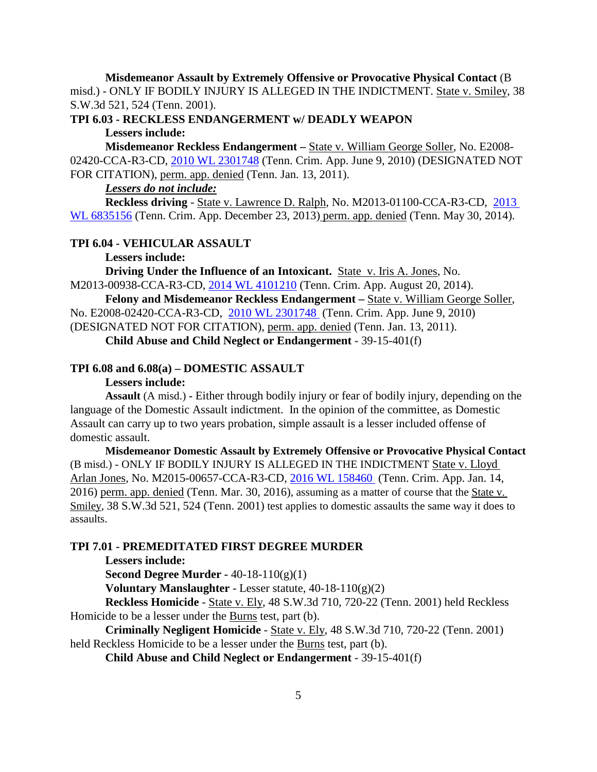**Misdemeanor Assault by Extremely Offensive or Provocative Physical Contact** (B misd.) - ONLY IF BODILY INJURY IS ALLEGED IN THE INDICTMENT. State v. Smiley, 38 S.W.3d 521, 524 (Tenn. 2001).

**TPI 6.03 - RECKLESS ENDANGERMENT w/ DEADLY WEAPON Lessers include:**

**Misdemeanor Reckless Endangerment –** State v. William George Soller, No. E2008- 02420-CCA-R3-CD, [2010 WL 2301748](https://1.next.westlaw.com/Document/I3ff2e17b747211dfa7ada84b8dc24cbf/View/FullText.html?transitionType=UniqueDocItem&contextData=(sc.Search)&userEnteredCitation=2010+WL+2301748) (Tenn. Crim. App. June 9, 2010) (DESIGNATED NOT FOR CITATION), perm. app. denied (Tenn. Jan. 13, 2011).

### *Lessers do not include:*

**Reckless driving** - State v. Lawrence D. Ralph, No. M2013-01100-CCA-R3-CD, [2013](https://1.next.westlaw.com/Document/Id1b159646fed11e38913df21cb42a557/View/FullText.html?navigationPath=Search%2Fv3%2Fsearch%2Fresults%2Fnavigation%2Fi0ad740160000015b3f22fa4f46703c44%3FNav%3DCASE%26fragmentIdentifier%3DId1b159646fed11e38913df21cb42a557%26startIndex%3D1%26contextData%3D%2528sc.Search%2529%26transitionType%3DSearchItem&listSource=Search&listPageSource=0f1b88ce82abb6dcddc8398ada2ae99d&list=CASE&rank=1&sessionScopeId=69b0169314d54bb8abc2d1202414eca523952ec6baa1fe2e86f5b7328ab2c6bb&originationContext=Search%20Result&transitionType=SearchItem&contextData=%28sc.Search%29)  [WL 6835156](https://1.next.westlaw.com/Document/Id1b159646fed11e38913df21cb42a557/View/FullText.html?navigationPath=Search%2Fv3%2Fsearch%2Fresults%2Fnavigation%2Fi0ad740160000015b3f22fa4f46703c44%3FNav%3DCASE%26fragmentIdentifier%3DId1b159646fed11e38913df21cb42a557%26startIndex%3D1%26contextData%3D%2528sc.Search%2529%26transitionType%3DSearchItem&listSource=Search&listPageSource=0f1b88ce82abb6dcddc8398ada2ae99d&list=CASE&rank=1&sessionScopeId=69b0169314d54bb8abc2d1202414eca523952ec6baa1fe2e86f5b7328ab2c6bb&originationContext=Search%20Result&transitionType=SearchItem&contextData=%28sc.Search%29) (Tenn. Crim. App. December 23, 2013) perm. app. denied (Tenn. May 30, 2014).

### **TPI 6.04 - VEHICULAR ASSAULT**

**Lessers include:**

**Driving Under the Influence of an Intoxicant.** State v. Iris A. Jones, No. M2013-00938-CCA-R3-CD, [2014 WL 4101210](https://1.next.westlaw.com/Document/I243f4115298d11e4b4bafa136b480ad2/View/FullText.html?navigationPath=Search%2Fv3%2Fsearch%2Fresults%2Fnavigation%2Fi0ad740360000015b3f2701bf4b246410%3FNav%3DCASE%26fragmentIdentifier%3DI243f4115298d11e4b4bafa136b480ad2%26startIndex%3D1%26contextData%3D%2528sc.Search%2529%26transitionType%3DSearchItem&listSource=Search&listPageSource=f880a47495d55ea04553461a303f8b8c&list=CASE&rank=1&sessionScopeId=69b0169314d54bb8abc2d1202414eca523952ec6baa1fe2e86f5b7328ab2c6bb&originationContext=Search%20Result&transitionType=SearchItem&contextData=%28sc.Search%29) (Tenn. Crim. App. August 20, 2014).

**Felony and Misdemeanor Reckless Endangerment –** State v. William George Soller,

No. E2008-02420-CCA-R3-CD, [2010 WL 2301748](https://1.next.westlaw.com/Document/I3ff2e17b747211dfa7ada84b8dc24cbf/View/FullText.html?transitionType=UniqueDocItem&contextData=(sc.Search)&userEnteredCitation=2010+WL+2301748) (Tenn. Crim. App. June 9, 2010)

(DESIGNATED NOT FOR CITATION), perm. app. denied (Tenn. Jan. 13, 2011).

**Child Abuse and Child Neglect or Endangerment** - 39-15-401(f)

#### **TPI 6.08 and 6.08(a) – DOMESTIC ASSAULT**

#### **Lessers include:**

**Assault** (A misd.) **-** Either through bodily injury or fear of bodily injury, depending on the language of the Domestic Assault indictment. In the opinion of the committee, as Domestic Assault can carry up to two years probation, simple assault is a lesser included offense of domestic assault.

**Misdemeanor Domestic Assault by Extremely Offensive or Provocative Physical Contact**  (B misd.) - ONLY IF BODILY INJURY IS ALLEGED IN THE INDICTMENT State v. Lloyd Arlan Jones, No. M2015-00657-CCA-R3-CD, [2016 WL 158460](https://1.next.westlaw.com/Document/Ifa86c560baed11e59dcad96e4d86e5cf/View/FullText.html?transitionType=UniqueDocItem&contextData=(sc.UserEnteredCitation)&userEnteredCitation=2016+WL+158460) (Tenn. Crim. App. Jan. 14, 2016) perm. app. denied (Tenn. Mar. 30, 2016), assuming as a matter of course that the State v. Smiley, 38 S.W.3d 521, 524 (Tenn. 2001) test applies to domestic assaults the same way it does to assaults.

# **TPI 7.01 - PREMEDITATED FIRST DEGREE MURDER**

**Lessers include:**

**Second Degree Murder -** 40-18-110(g)(1)

**Voluntary Manslaughter** - Lesser statute, 40-18-110(g)(2)

**Reckless Homicide** - State v. Ely, 48 S.W.3d 710, 720-22 (Tenn. 2001) held Reckless Homicide to be a lesser under the **Burns** test, part (b).

**Criminally Negligent Homicide** - State v. Ely, 48 S.W.3d 710, 720-22 (Tenn. 2001) held Reckless Homicide to be a lesser under the Burns test, part (b).

**Child Abuse and Child Neglect or Endangerment** - 39-15-401(f)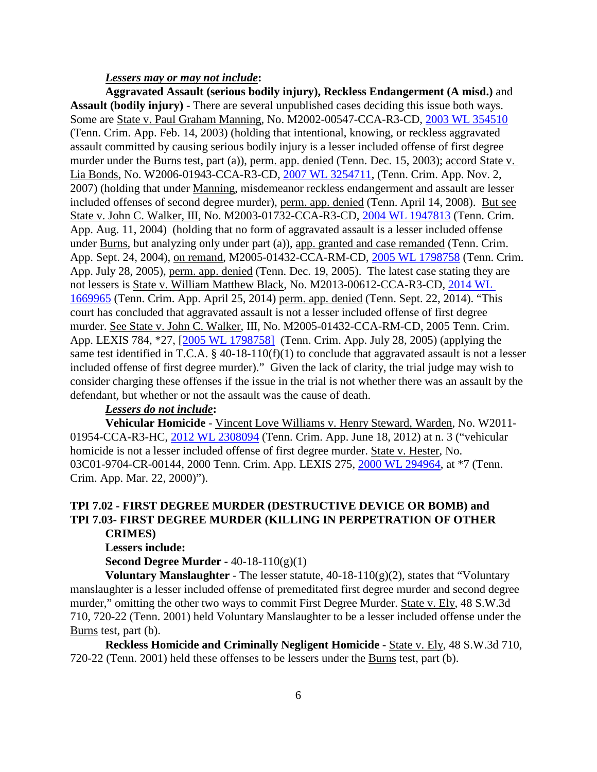#### *Lessers may or may not include***:**

**Aggravated Assault (serious bodily injury), Reckless Endangerment (A misd.)** and **Assault (bodily injury)** - There are several unpublished cases deciding this issue both ways. Some are State v. Paul Graham Manning, No. M2002-00547-CCA-R3-CD, [2003 WL 354510](https://1.next.westlaw.com/Document/Id5dd7176ea9011d9b386b232635db992/View/FullText.html?transitionType=UniqueDocItem&contextData=(sc.Search)&userEnteredCitation=2003+WL+354510) (Tenn. Crim. App. Feb. 14, 2003) (holding that intentional, knowing, or reckless aggravated assault committed by causing serious bodily injury is a lesser included offense of first degree murder under the Burns test, part (a)), perm. app. denied (Tenn. Dec. 15, 2003); accord State v. Lia Bonds, No. W2006-01943-CCA-R3-CD, [2007 WL 3254711,](https://1.next.westlaw.com/Document/If0c4bcad8c5b11dca17de88fefedfab7/View/FullText.html?transitionType=UniqueDocItem&contextData=(sc.Search)&userEnteredCitation=2007+WL+3254711) (Tenn. Crim. App. Nov. 2, 2007) (holding that under Manning, misdemeanor reckless endangerment and assault are lesser included offenses of second degree murder), perm. app. denied (Tenn. April 14, 2008). But see State v. John C. Walker, III, No. M2003-01732-CCA-R3-CD, [2004 WL 1947813](https://1.next.westlaw.com/Document/Id5d5d93debb511d983e7e9deff98dc6f/View/FullText.html?transitionType=UniqueDocItem&contextData=(sc.DocLink)&userEnteredCitation=2004+WL+1947813) (Tenn. Crim. App. Aug. 11, 2004) (holding that no form of aggravated assault is a lesser included offense under Burns, but analyzing only under part (a)), app. granted and case remanded (Tenn. Crim. App. Sept. 24, 2004), on remand, M2005-01432-CCA-RM-CD, [2005 WL 1798758](https://1.next.westlaw.com/Document/I186b691902cb11dab386b232635db992/View/FullText.html?docFamilyGuid=I186b691a02cb11dab386b232635db992&transitionType=History&contextData=%28sc.UserEnteredCitation%29) (Tenn. Crim. App. July 28, 2005), perm. app. denied (Tenn. Dec. 19, 2005). The latest case stating they are not lessers is State v. William Matthew Black, No. M2013-00612-CCA-R3-CD, [2014 WL](https://1.next.westlaw.com/Document/I6619feb3cf8b11e398918a57b3f325e0/View/FullText.html?transitionType=UniqueDocItem&contextData=(sc.Search)&userEnteredCitation=2014+WL+1669965)  [1669965](https://1.next.westlaw.com/Document/I6619feb3cf8b11e398918a57b3f325e0/View/FullText.html?transitionType=UniqueDocItem&contextData=(sc.Search)&userEnteredCitation=2014+WL+1669965) (Tenn. Crim. App. April 25, 2014) perm. app. denied (Tenn. Sept. 22, 2014). "This court has concluded that aggravated assault is not a lesser included offense of first degree murder. See State v. John C. Walker, III, No. M2005-01432-CCA-RM-CD, 2005 Tenn. Crim. App. LEXIS 784, \*27, [\[2005 WL 1798758\]](https://1.next.westlaw.com/Document/I186b691902cb11dab386b232635db992/View/FullText.html?docFamilyGuid=I186b691a02cb11dab386b232635db992&transitionType=History&contextData=%28sc.UserEnteredCitation%29) (Tenn. Crim. App. July 28, 2005) (applying the same test identified in T.C.A. § 40-18-110(f)(1) to conclude that aggravated assault is not a lesser included offense of first degree murder)." Given the lack of clarity, the trial judge may wish to consider charging these offenses if the issue in the trial is not whether there was an assault by the defendant, but whether or not the assault was the cause of death.

### *Lessers do not include***:**

**Vehicular Homicide** - Vincent Love Williams v. Henry Steward, Warden, No. W2011- 01954-CCA-R3-HC, [2012 WL 2308094](https://1.next.westlaw.com/Link/Document/FullText?findType=Y&serNum=2027926745&pubNum=0000999&originatingDoc=I832b249000db11e792ccd0392c3f85a3&refType=RP&originationContext=document&transitionType=DocumentItem&contextData=(sc.Search)) (Tenn. Crim. App. June 18, 2012) at n. 3 ("vehicular homicide is not a lesser included offense of first degree murder. State v. Hester, No. 03C01-9704-CR-00144, 2000 Tenn. Crim. App. LEXIS 275, [2000 WL 294964,](https://1.next.westlaw.com/Document/Ida775f32ea8011d983e7e9deff98dc6f/View/FullText.html?transitionType=UniqueDocItem&contextData=(sc.DocLink)&userEnteredCitation=2000+WL+294964) at \*7 (Tenn. Crim. App. Mar. 22, 2000)").

### **TPI 7.02 - FIRST DEGREE MURDER (DESTRUCTIVE DEVICE OR BOMB) and TPI 7.03- FIRST DEGREE MURDER (KILLING IN PERPETRATION OF OTHER CRIMES)**

#### **Lessers include:**

**Second Degree Murder -** 40-18-110(g)(1)

**Voluntary Manslaughter** - The lesser statute, 40-18-110(g)(2), states that "Voluntary manslaughter is a lesser included offense of premeditated first degree murder and second degree murder," omitting the other two ways to commit First Degree Murder. State v. Ely, 48 S.W.3d 710, 720-22 (Tenn. 2001) held Voluntary Manslaughter to be a lesser included offense under the Burns test, part (b).

**Reckless Homicide and Criminally Negligent Homicide** - State v. Ely, 48 S.W.3d 710, 720-22 (Tenn. 2001) held these offenses to be lessers under the Burns test, part (b).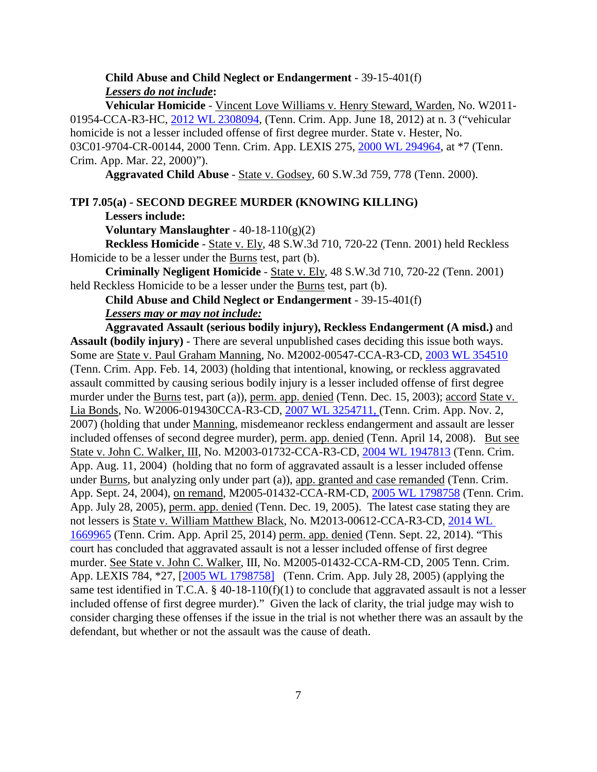**Child Abuse and Child Neglect or Endangerment** - 39-15-401(f) *Lessers do not include***:**

**Vehicular Homicide** - Vincent Love Williams v. Henry Steward, Warden, No. W2011- 01954-CCA-R3-HC, [2012 WL 2308094,](https://1.next.westlaw.com/Link/Document/FullText?findType=Y&serNum=2027926745&pubNum=0000999&originatingDoc=I832b249000db11e792ccd0392c3f85a3&refType=RP&originationContext=document&transitionType=DocumentItem&contextData=(sc.Search)) (Tenn. Crim. App. June 18, 2012) at n. 3 ("vehicular homicide is not a lesser included offense of first degree murder. State v. Hester, No. 03C01-9704-CR-00144, 2000 Tenn. Crim. App. LEXIS 275, [2000 WL 294964,](https://1.next.westlaw.com/Document/Ida775f32ea8011d983e7e9deff98dc6f/View/FullText.html?transitionType=UniqueDocItem&contextData=(sc.DocLink)&userEnteredCitation=2000+WL+294964) at \*7 (Tenn. Crim. App. Mar. 22, 2000)").

**Aggravated Child Abuse** - State v. Godsey, 60 S.W.3d 759, 778 (Tenn. 2000).

**TPI 7.05(a) - SECOND DEGREE MURDER (KNOWING KILLING)**

**Lessers include:**

**Voluntary Manslaughter** - 40-18-110(g)(2)

**Reckless Homicide** - State v. Ely, 48 S.W.3d 710, 720-22 (Tenn. 2001) held Reckless Homicide to be a lesser under the Burns test, part (b).

**Criminally Negligent Homicide** - State v. Ely, 48 S.W.3d 710, 720-22 (Tenn. 2001) held Reckless Homicide to be a lesser under the Burns test, part (b).

**Child Abuse and Child Neglect or Endangerment** - 39-15-401(f)

#### *Lessers may or may not include:*

**Aggravated Assault (serious bodily injury), Reckless Endangerment (A misd.)** and **Assault (bodily injury)** - There are several unpublished cases deciding this issue both ways. Some are State v. Paul Graham Manning, No. M2002-00547-CCA-R3-CD, [2003 WL 354510](https://1.next.westlaw.com/Document/Id5dd7176ea9011d9b386b232635db992/View/FullText.html?transitionType=UniqueDocItem&contextData=(sc.Search)&userEnteredCitation=2003+WL+354510) (Tenn. Crim. App. Feb. 14, 2003) (holding that intentional, knowing, or reckless aggravated assault committed by causing serious bodily injury is a lesser included offense of first degree murder under the Burns test, part (a)), perm. app. denied (Tenn. Dec. 15, 2003); accord State v. Lia Bonds, No. W2006-019430CCA-R3-CD, [2007 WL 3254711,](https://1.next.westlaw.com/Document/If0c4bcad8c5b11dca17de88fefedfab7/View/FullText.html?transitionType=UniqueDocItem&contextData=(sc.Search)&userEnteredCitation=2007+WL+3254711) (Tenn. Crim. App. Nov. 2, 2007) (holding that under Manning, misdemeanor reckless endangerment and assault are lesser included offenses of second degree murder), perm. app. denied (Tenn. April 14, 2008). But see State v. John C. Walker, III, No. M2003-01732-CCA-R3-CD, [2004 WL 1947813](https://1.next.westlaw.com/Document/Id5d5d93debb511d983e7e9deff98dc6f/View/FullText.html?transitionType=UniqueDocItem&contextData=(sc.DocLink)&userEnteredCitation=2004+WL+1947813) (Tenn. Crim. App. Aug. 11, 2004) (holding that no form of aggravated assault is a lesser included offense under Burns, but analyzing only under part (a)), app. granted and case remanded (Tenn. Crim. App. Sept. 24, 2004), on remand, M2005-01432-CCA-RM-CD, [2005 WL 1798758](https://1.next.westlaw.com/Document/I186b691902cb11dab386b232635db992/View/FullText.html?docFamilyGuid=I186b691a02cb11dab386b232635db992&transitionType=History&contextData=%28sc.UserEnteredCitation%29) (Tenn. Crim. App. July 28, 2005), perm. app. denied (Tenn. Dec. 19, 2005). The latest case stating they are not lessers is State v. William Matthew Black, No. M2013-00612-CCA-R3-CD, [2014 WL](https://1.next.westlaw.com/Document/I6619feb3cf8b11e398918a57b3f325e0/View/FullText.html?transitionType=UniqueDocItem&contextData=(sc.Search)&userEnteredCitation=2014+WL+1669965)  [1669965](https://1.next.westlaw.com/Document/I6619feb3cf8b11e398918a57b3f325e0/View/FullText.html?transitionType=UniqueDocItem&contextData=(sc.Search)&userEnteredCitation=2014+WL+1669965) (Tenn. Crim. App. April 25, 2014) perm. app. denied (Tenn. Sept. 22, 2014). "This court has concluded that aggravated assault is not a lesser included offense of first degree murder. See State v. John C. Walker, III, No. M2005-01432-CCA-RM-CD, 2005 Tenn. Crim. App. LEXIS 784, \*27, [\[2005 WL 1798758\]](https://1.next.westlaw.com/Document/I186b691902cb11dab386b232635db992/View/FullText.html?docFamilyGuid=I186b691a02cb11dab386b232635db992&transitionType=History&contextData=%28sc.UserEnteredCitation%29) (Tenn. Crim. App. July 28, 2005) (applying the same test identified in T.C.A. § 40-18-110(f)(1) to conclude that aggravated assault is not a lesser included offense of first degree murder)." Given the lack of clarity, the trial judge may wish to consider charging these offenses if the issue in the trial is not whether there was an assault by the defendant, but whether or not the assault was the cause of death.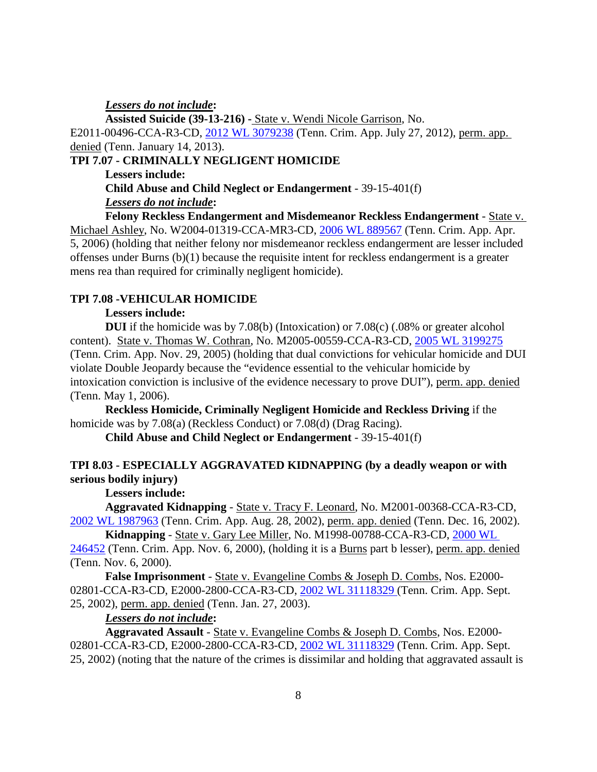*Lessers do not include***:**

**Assisted Suicide (39-13-216) -** State v. Wendi Nicole Garrison, No. E2011-00496-CCA-R3-CD, [2012 WL 3079238](https://1.next.westlaw.com/Document/I0005e9b4db1111e1b66bbd5332e2d275/View/FullText.html?transitionType=UniqueDocItem&contextData=(sc.Search)&userEnteredCitation=2012+WL+3079238) (Tenn. Crim. App. July 27, 2012), perm. app. denied (Tenn. January 14, 2013).

# **TPI 7.07 - CRIMINALLY NEGLIGENT HOMICIDE**

**Lessers include:** 

**Child Abuse and Child Neglect or Endangerment** - 39-15-401(f) *Lessers do not include***:**

**Felony Reckless Endangerment and Misdemeanor Reckless Endangerment** - State v. Michael Ashley, No. W2004-01319-CCA-MR3-CD, [2006 WL 889567](https://1.next.westlaw.com/Document/I38eb04b5c63a11daa514dfb5bc366636/View/FullText.html?transitionType=UniqueDocItem&contextData=(sc.Search)&userEnteredCitation=2006+WL+889567) (Tenn. Crim. App. Apr. 5, 2006) (holding that neither felony nor misdemeanor reckless endangerment are lesser included offenses under Burns (b)(1) because the requisite intent for reckless endangerment is a greater mens rea than required for criminally negligent homicide).

### **TPI 7.08 -VEHICULAR HOMICIDE**

#### **Lessers include:**

**DUI** if the homicide was by 7.08(b) (Intoxication) or 7.08(c) (.08% or greater alcohol content). State v. Thomas W. Cothran, No. M2005-00559-CCA-R3-CD, [2005 WL 3199275](https://1.next.westlaw.com/Document/Id89e6c8162d811daa20eccddde63d628/View/FullText.html?transitionType=UniqueDocItem&contextData=(sc.Search)&userEnteredCitation=2005+WL+3199275) (Tenn. Crim. App. Nov. 29, 2005) (holding that dual convictions for vehicular homicide and DUI violate Double Jeopardy because the "evidence essential to the vehicular homicide by intoxication conviction is inclusive of the evidence necessary to prove DUI"), perm. app. denied (Tenn. May 1, 2006).

**Reckless Homicide, Criminally Negligent Homicide and Reckless Driving** if the homicide was by 7.08(a) (Reckless Conduct) or 7.08(d) (Drag Racing).

**Child Abuse and Child Neglect or Endangerment** - 39-15-401(f)

# **TPI 8.03 - ESPECIALLY AGGRAVATED KIDNAPPING (by a deadly weapon or with serious bodily injury)**

### **Lessers include:**

 **Aggravated Kidnapping** - State v. Tracy F. Leonard, No. M2001-00368-CCA-R3-CD, [2002 WL 1987963](https://1.next.westlaw.com/Document/I5d10c1b7ea9b11d99439b076ef9ec4de/View/FullText.html?transitionType=UniqueDocItem&contextData=(sc.Search)&userEnteredCitation=2002+WL+1987963) (Tenn. Crim. App. Aug. 28, 2002), perm. app. denied (Tenn. Dec. 16, 2002).

**Kidnapping** - State v. Gary Lee Miller, No. M1998-00788-CCA-R3-CD, [2000 WL](https://1.next.westlaw.com/Document/Ida7b2fc9ea8011d983e7e9deff98dc6f/View/FullText.html?transitionType=UniqueDocItem&contextData=(sc.Search)&userEnteredCitation=2000+WL+246452)  [246452](https://1.next.westlaw.com/Document/Ida7b2fc9ea8011d983e7e9deff98dc6f/View/FullText.html?transitionType=UniqueDocItem&contextData=(sc.Search)&userEnteredCitation=2000+WL+246452) (Tenn. Crim. App. Nov. 6, 2000), (holding it is a Burns part b lesser), perm. app. denied (Tenn. Nov. 6, 2000).

**False Imprisonment** - State v. Evangeline Combs & Joseph D. Combs, Nos. E2000- 02801-CCA-R3-CD, E2000-2800-CCA-R3-CD, [2002 WL 31118329 \(](https://1.next.westlaw.com/Document/I5d0d8d6bea9b11d99439b076ef9ec4de/View/FullText.html?transitionType=UniqueDocItem&contextData=(sc.Search)&userEnteredCitation=2002+WL+31118329)Tenn. Crim. App. Sept. 25, 2002), perm. app. denied (Tenn. Jan. 27, 2003).

### *Lessers do not include***:**

**Aggravated Assault** - State v. Evangeline Combs & Joseph D. Combs, Nos. E2000- 02801-CCA-R3-CD, E2000-2800-CCA-R3-CD, [2002 WL 31118329](https://1.next.westlaw.com/Document/I5d0d8d6bea9b11d99439b076ef9ec4de/View/FullText.html?transitionType=UniqueDocItem&contextData=(sc.Search)&userEnteredCitation=2002+WL+31118329) (Tenn. Crim. App. Sept.) 25, 2002) (noting that the nature of the crimes is dissimilar and holding that aggravated assault is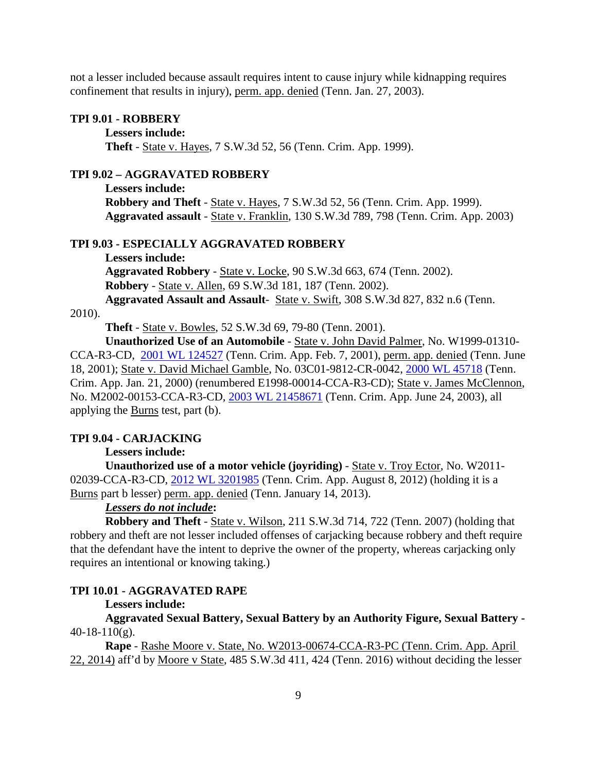not a lesser included because assault requires intent to cause injury while kidnapping requires confinement that results in injury), perm. app. denied (Tenn. Jan. 27, 2003).

#### **TPI 9.01 - ROBBERY**

#### **Lessers include:**

**Theft** - State v. Hayes, 7 S.W.3d 52, 56 (Tenn. Crim. App. 1999).

### **TPI 9.02 – AGGRAVATED ROBBERY**

**Lessers include: Robbery and Theft** - State v. Hayes, 7 S.W.3d 52, 56 (Tenn. Crim. App. 1999). **Aggravated assault** - State v. Franklin, 130 S.W.3d 789, 798 (Tenn. Crim. App. 2003)

### **TPI 9.03 - ESPECIALLY AGGRAVATED ROBBERY**

**Lessers include:**

**Aggravated Robbery** - State v. Locke, 90 S.W.3d 663, 674 (Tenn. 2002). **Robbery** - State v. Allen, 69 S.W.3d 181, 187 (Tenn. 2002).

**Aggravated Assault and Assault**- State v. Swift, 308 S.W.3d 827, 832 n.6 (Tenn.

#### 2010).

**Theft** - State v. Bowles, 52 S.W.3d 69, 79-80 (Tenn. 2001).

**Unauthorized Use of an Automobile** - State v. John David Palmer, No. W1999-01310- CCA-R3-CD, [2001 WL 124527](https://1.next.westlaw.com/Document/I89052b62ea9e11d9b386b232635db992/View/FullText.html?transitionType=UniqueDocItem&contextData=(sc.Search)&userEnteredCitation=2001+WL+124527) (Tenn. Crim. App. Feb. 7, 2001), perm. app. denied (Tenn. June 18, 2001); State v. David Michael Gamble, No. 03C01-9812-CR-0042, [2000 WL 45718](https://1.next.westlaw.com/Document/Ida86c885ea8011d983e7e9deff98dc6f/View/FullText.html?transitionType=UniqueDocItem&contextData=(sc.Search)&userEnteredCitation=2000+WL+45718) (Tenn. Crim. App. Jan. 21, 2000) (renumbered E1998-00014-CCA-R3-CD); State v. James McClennon, No. M2002-00153-CCA-R3-CD, [2003 WL 21458671](https://1.next.westlaw.com/Document/Id5cb220bea9011d9b386b232635db992/View/FullText.html?transitionType=UniqueDocItem&contextData=(sc.Search)&userEnteredCitation=2003+WL+21458671) (Tenn. Crim. App. June 24, 2003), all applying the Burns test, part (b).

#### **TPI 9.04 - CARJACKING**

### **Lessers include:**

**Unauthorized use of a motor vehicle (joyriding)** - State v. Troy Ector, No. W2011- 02039-CCA-R3-CD, [2012 WL 3201985](https://1.next.westlaw.com/Document/Ic918a36ae19411e1b60bb297d3d07bc5/View/FullText.html?transitionType=UniqueDocItem&contextData=(sc.Search)&userEnteredCitation=2012+WL+3201985) (Tenn. Crim. App. August 8, 2012) (holding it is a Burns part b lesser) perm. app. denied (Tenn. January 14, 2013).

### *Lessers do not include***:**

**Robbery and Theft** - State v. Wilson, 211 S.W.3d 714, 722 (Tenn. 2007) (holding that robbery and theft are not lesser included offenses of carjacking because robbery and theft require that the defendant have the intent to deprive the owner of the property, whereas carjacking only requires an intentional or knowing taking.)

#### **TPI 10.01 - AGGRAVATED RAPE**

#### **Lessers include:**

**Aggravated Sexual Battery, Sexual Battery by an Authority Figure, Sexual Battery -**  $40-18-110(g)$ .

**Rape** - Rashe Moore v. State, No. W2013-00674-CCA-R3-PC (Tenn. Crim. App. April 22, 2014) aff'd by Moore v State, 485 S.W.3d 411, 424 (Tenn. 2016) without deciding the lesser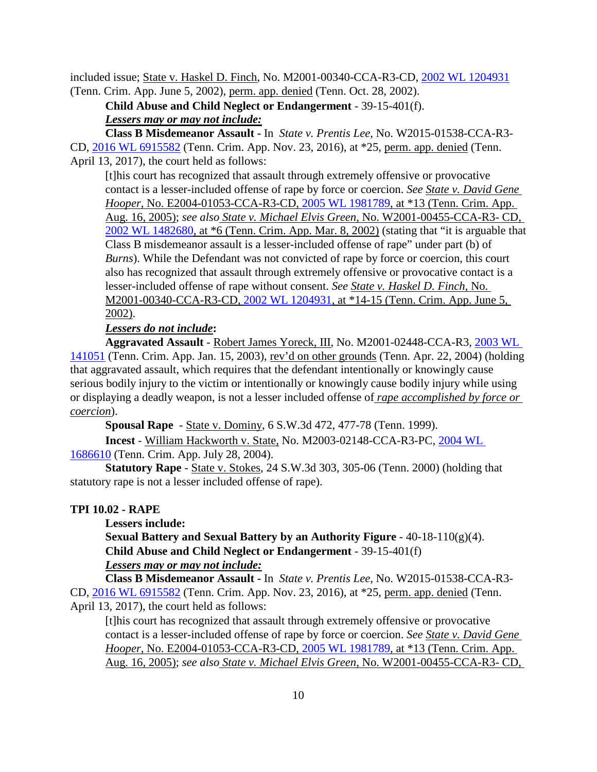included issue; State v. Haskel D. Finch, No. M2001-00340-CCA-R3-CD, [2002 WL 1204931](https://1.next.westlaw.com/Document/I8b8c0f3cea9c11d98ac8f235252e36df/View/FullText.html?transitionType=UniqueDocItem&contextData=(sc.Search)&userEnteredCitation=2002+WL+1204931) (Tenn. Crim. App. June 5, 2002), perm. app. denied (Tenn. Oct. 28, 2002).

**Child Abuse and Child Neglect or Endangerment** - 39-15-401(f). *Lessers may or may not include:*

**Class B Misdemeanor Assault -** In *State v. Prentis Lee*, No. W2015-01538-CCA-R3- CD, [2016 WL 6915582](https://1.next.westlaw.com/Document/I0e9992f0b37511e6afc8be5a5c08bae9/View/FullText.html?transitionType=UniqueDocItem&contextData=(sc.DocLink)&userEnteredCitation=2016+WL+6915582) (Tenn. Crim. App. Nov. 23, 2016), at \*25, perm. app. denied (Tenn. April 13, 2017), the court held as follows:

[t]his court has recognized that assault through extremely offensive or provocative contact is a lesser-included offense of rape by force or coercion. *See State v. David Gene Hooper*, No. E2004-01053-CCA-R3-CD, [2005 WL 1981789,](https://1.next.westlaw.com/Document/Ic73f8fc60f9b11da974abd26ac2a6030/View/FullText.html?transitionType=UniqueDocItem&contextData=(sc.UserEnteredCitation)&userEnteredCitation=2005+WL+1981789) at \*13 (Tenn. Crim. App. Aug. 16, 2005); *see also State v. Michael Elvis Green*, No. W2001-00455-CCA-R3- CD, [2002 WL 1482680,](https://1.next.westlaw.com/Document/I5d17c69cea9b11d99439b076ef9ec4de/View/FullText.html?transitionType=UniqueDocItem&contextData=(sc.UserEnteredCitation)&userEnteredCitation=2002+WL+1482680) at \*6 (Tenn. Crim. App. Mar. 8, 2002) (stating that "it is arguable that Class B misdemeanor assault is a lesser-included offense of rape" under part (b) of *Burns*). While the Defendant was not convicted of rape by force or coercion, this court also has recognized that assault through extremely offensive or provocative contact is a lesser-included offense of rape without consent. *See State v. Haskel D. Finch*, No. M2001-00340-CCA-R3-CD, [2002 WL 1204931,](https://1.next.westlaw.com/Document/I8b8c0f3cea9c11d98ac8f235252e36df/View/FullText.html?transitionType=UniqueDocItem&contextData=(sc.Search)&userEnteredCitation=2002+WL+1204931) at \*14-15 (Tenn. Crim. App. June 5, 2002).

### *Lessers do not include***:**

**Aggravated Assault** - Robert James Yoreck, III, No. M2001-02448-CCA-R3, [2003 WL](https://1.next.westlaw.com/Document/I2b1eca1ae99411d98ac8f235252e36df/View/FullText.html?transitionType=UniqueDocItem&contextData=(sc.DocLink)&userEnteredCitation=2003+WL+141051)  [141051](https://1.next.westlaw.com/Document/I2b1eca1ae99411d98ac8f235252e36df/View/FullText.html?transitionType=UniqueDocItem&contextData=(sc.DocLink)&userEnteredCitation=2003+WL+141051) (Tenn. Crim. App. Jan. 15, 2003), rev'd on other grounds (Tenn. Apr. 22, 2004) (holding that aggravated assault, which requires that the defendant intentionally or knowingly cause serious bodily injury to the victim or intentionally or knowingly cause bodily injury while using or displaying a deadly weapon, is not a lesser included offense of *rape accomplished by force or coercion*).

**Spousal Rape** - State v. Dominy, 6 S.W.3d 472, 477-78 (Tenn. 1999).

**Incest** - William Hackworth v. State, No. M2003-02148-CCA-R3-PC, [2004 WL](https://1.next.westlaw.com/Document/Ia42d249fea7711d98ac8f235252e36df/View/FullText.html?transitionType=UniqueDocItem&contextData=(sc.Search)&userEnteredCitation=2004+WL+1686610)  [1686610](https://1.next.westlaw.com/Document/Ia42d249fea7711d98ac8f235252e36df/View/FullText.html?transitionType=UniqueDocItem&contextData=(sc.Search)&userEnteredCitation=2004+WL+1686610) (Tenn. Crim. App. July 28, 2004).

**Statutory Rape** - State v. Stokes, 24 S.W.3d 303, 305-06 (Tenn. 2000) (holding that statutory rape is not a lesser included offense of rape).

### **TPI 10.02 - RAPE**

#### **Lessers include:**

**Sexual Battery and Sexual Battery by an Authority Figure** - 40-18-110(g)(4). **Child Abuse and Child Neglect or Endangerment** - 39-15-401(f)

## *Lessers may or may not include:*

**Class B Misdemeanor Assault -** In *State v. Prentis Lee*, No. W2015-01538-CCA-R3- CD, [2016 WL 6915582](https://1.next.westlaw.com/Document/I0e9992f0b37511e6afc8be5a5c08bae9/View/FullText.html?transitionType=UniqueDocItem&contextData=(sc.DocLink)&userEnteredCitation=2016+WL+6915582) (Tenn. Crim. App. Nov. 23, 2016), at \*25, perm. app. denied (Tenn. April 13, 2017), the court held as follows:

[t]his court has recognized that assault through extremely offensive or provocative contact is a lesser-included offense of rape by force or coercion. *See State v. David Gene Hooper*, No. E2004-01053-CCA-R3-CD, [2005 WL 1981789,](https://1.next.westlaw.com/Document/Ic73f8fc60f9b11da974abd26ac2a6030/View/FullText.html?transitionType=UniqueDocItem&contextData=(sc.UserEnteredCitation)&userEnteredCitation=2005+WL+1981789) at \*13 (Tenn. Crim. App. Aug. 16, 2005); *see also State v. Michael Elvis Green*, No. W2001-00455-CCA-R3- CD,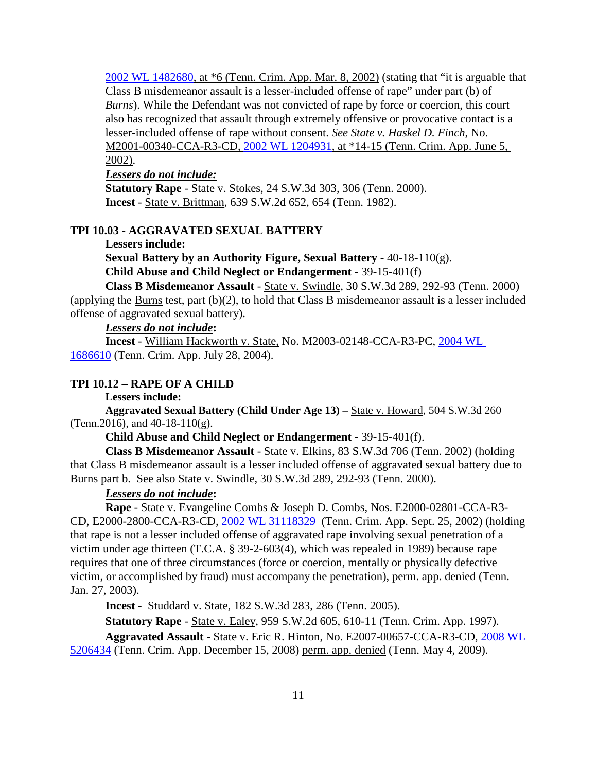[2002 WL 1482680,](https://1.next.westlaw.com/Document/I5d17c69cea9b11d99439b076ef9ec4de/View/FullText.html?transitionType=UniqueDocItem&contextData=(sc.UserEnteredCitation)&userEnteredCitation=2002+WL+1482680) at \*6 (Tenn. Crim. App. Mar. 8, 2002) (stating that "it is arguable that Class B misdemeanor assault is a lesser-included offense of rape" under part (b) of *Burns*). While the Defendant was not convicted of rape by force or coercion, this court also has recognized that assault through extremely offensive or provocative contact is a lesser-included offense of rape without consent. *See State v. Haskel D. Finch*, No. M2001-00340-CCA-R3-CD, [2002 WL 1204931,](https://1.next.westlaw.com/Document/I8b8c0f3cea9c11d98ac8f235252e36df/View/FullText.html?transitionType=UniqueDocItem&contextData=(sc.Search)&userEnteredCitation=2002+WL+1204931) at \*14-15 (Tenn. Crim. App. June 5, 2002).

# *Lessers do not include:*

**Statutory Rape** - State v. Stokes, 24 S.W.3d 303, 306 (Tenn. 2000). **Incest** - State v. Brittman, 639 S.W.2d 652, 654 (Tenn. 1982).

### **TPI 10.03 - AGGRAVATED SEXUAL BATTERY**

**Lessers include:**

**Sexual Battery by an Authority Figure, Sexual Battery -** 40-18-110(g). **Child Abuse and Child Neglect or Endangerment** - 39-15-401(f)

**Class B Misdemeanor Assault** - State v. Swindle, 30 S.W.3d 289, 292-93 (Tenn. 2000) (applying the Burns test, part (b)(2), to hold that Class B misdemeanor assault is a lesser included offense of aggravated sexual battery).

# *Lessers do not include***:**

**Incest** - William Hackworth v. State, No. M2003-02148-CCA-R3-PC, [2004 WL](https://1.next.westlaw.com/Document/Ia42d249fea7711d98ac8f235252e36df/View/FullText.html?transitionType=UniqueDocItem&contextData=(sc.Search)&userEnteredCitation=2004+WL+1686610)  [1686610](https://1.next.westlaw.com/Document/Ia42d249fea7711d98ac8f235252e36df/View/FullText.html?transitionType=UniqueDocItem&contextData=(sc.Search)&userEnteredCitation=2004+WL+1686610) (Tenn. Crim. App. July 28, 2004).

#### **TPI 10.12 – RAPE OF A CHILD**

**Lessers include:** 

**Aggravated Sexual Battery (Child Under Age 13) –** State v. Howard, 504 S.W.3d 260 (Tenn.2016), and 40-18-110(g).

**Child Abuse and Child Neglect or Endangerment** - 39-15-401(f).

**Class B Misdemeanor Assault** - State v. Elkins, 83 S.W.3d 706 (Tenn. 2002) (holding that Class B misdemeanor assault is a lesser included offense of aggravated sexual battery due to Burns part b. See also State v. Swindle, 30 S.W.3d 289, 292-93 (Tenn. 2000).

### *Lessers do not include***:**

**Rape** - State v. Evangeline Combs & Joseph D. Combs, Nos. E2000-02801-CCA-R3- CD, E2000-2800-CCA-R3-CD, [2002 WL 31118329](https://1.next.westlaw.com/Document/I5d0d8d6bea9b11d99439b076ef9ec4de/View/FullText.html?transitionType=UniqueDocItem&contextData=(sc.Search)&userEnteredCitation=2002+WL+31118329) (Tenn. Crim. App. Sept. 25, 2002) (holding that rape is not a lesser included offense of aggravated rape involving sexual penetration of a victim under age thirteen (T.C.A. § 39-2-603(4), which was repealed in 1989) because rape requires that one of three circumstances (force or coercion, mentally or physically defective victim, or accomplished by fraud) must accompany the penetration), perm. app. denied (Tenn. Jan. 27, 2003).

**Incest** - Studdard v. State, 182 S.W.3d 283, 286 (Tenn. 2005).

**Statutory Rape** - State v. Ealey, 959 S.W.2d 605, 610-11 (Tenn. Crim. App. 1997).

**Aggravated Assault** - State v. Eric R. Hinton, No. E2007-00657-CCA-R3-CD, [2008 WL](https://1.next.westlaw.com/Document/I178471becada11ddbc7bf97f340af743/View/FullText.html?transitionType=UniqueDocItem&contextData=(sc.Search)&userEnteredCitation=2008+WL+5206434) 

[5206434](https://1.next.westlaw.com/Document/I178471becada11ddbc7bf97f340af743/View/FullText.html?transitionType=UniqueDocItem&contextData=(sc.Search)&userEnteredCitation=2008+WL+5206434) (Tenn. Crim. App. December 15, 2008) perm. app. denied (Tenn. May 4, 2009).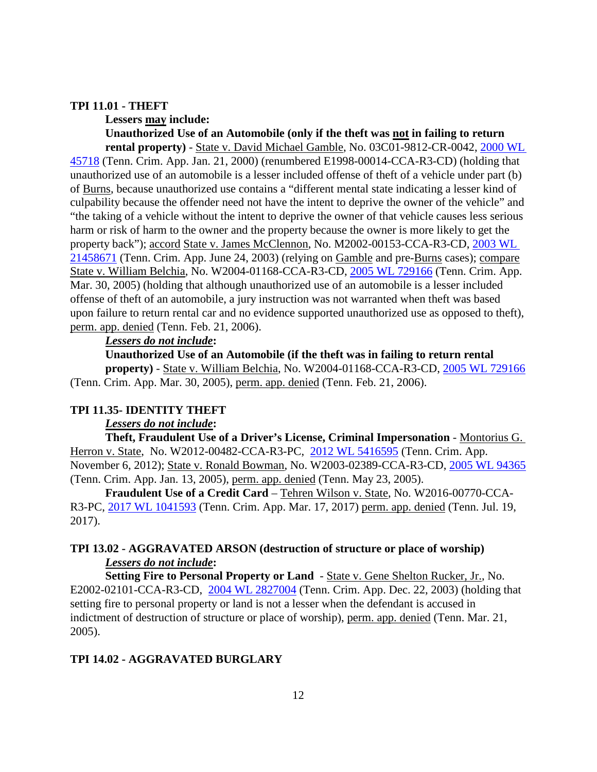#### **TPI 11.01 - THEFT**

**Lessers may include: Unauthorized Use of an Automobile (only if the theft was not in failing to return rental property)** - State v. David Michael Gamble, No. 03C01-9812-CR-0042, [2000 WL](https://1.next.westlaw.com/Document/Ida86c885ea8011d983e7e9deff98dc6f/View/FullText.html?transitionType=UniqueDocItem&contextData=(sc.Search)&userEnteredCitation=2000+WL+45718) 

[45718](https://1.next.westlaw.com/Document/Ida86c885ea8011d983e7e9deff98dc6f/View/FullText.html?transitionType=UniqueDocItem&contextData=(sc.Search)&userEnteredCitation=2000+WL+45718) (Tenn. Crim. App. Jan. 21, 2000) (renumbered E1998-00014-CCA-R3-CD) (holding that unauthorized use of an automobile is a lesser included offense of theft of a vehicle under part (b) of Burns, because unauthorized use contains a "different mental state indicating a lesser kind of culpability because the offender need not have the intent to deprive the owner of the vehicle" and "the taking of a vehicle without the intent to deprive the owner of that vehicle causes less serious harm or risk of harm to the owner and the property because the owner is more likely to get the property back"); accord State v. James McClennon, No. M2002-00153-CCA-R3-CD, [2003 WL](https://1.next.westlaw.com/Document/Id5cb220bea9011d9b386b232635db992/View/FullText.html?transitionType=UniqueDocItem&contextData=(sc.Search)&userEnteredCitation=2003+WL+21458671)  [21458671](https://1.next.westlaw.com/Document/Id5cb220bea9011d9b386b232635db992/View/FullText.html?transitionType=UniqueDocItem&contextData=(sc.Search)&userEnteredCitation=2003+WL+21458671) (Tenn. Crim. App. June 24, 2003) (relying on Gamble and pre-Burns cases); compare State v. William Belchia, No. W2004-01168-CCA-R3-CD, [2005 WL 729166](https://1.next.westlaw.com/Document/I82ef25a7eb4211d983e7e9deff98dc6f/View/FullText.html?transitionType=UniqueDocItem&contextData=(sc.Search)&userEnteredCitation=2005+WL+729166) (Tenn. Crim. App. Mar. 30, 2005) (holding that although unauthorized use of an automobile is a lesser included offense of theft of an automobile, a jury instruction was not warranted when theft was based upon failure to return rental car and no evidence supported unauthorized use as opposed to theft), perm. app. denied (Tenn. Feb. 21, 2006).

#### *Lessers do not include***:**

**Unauthorized Use of an Automobile (if the theft was in failing to return rental** 

**property)** - State v. William Belchia, No. W2004-01168-CCA-R3-CD, [2005 WL 729166](https://1.next.westlaw.com/Document/I82ef25a7eb4211d983e7e9deff98dc6f/View/FullText.html?transitionType=UniqueDocItem&contextData=(sc.Search)&userEnteredCitation=2005+WL+729166) (Tenn. Crim. App. Mar. 30, 2005), perm. app. denied (Tenn. Feb. 21, 2006).

#### **TPI 11.35- IDENTITY THEFT**

#### *Lessers do not include***:**

**Theft, Fraudulent Use of a Driver's License, Criminal Impersonation** - Montorius G. Herron v. State, No. W2012-00482-CCA-R3-PC, [2012 WL 5416595](https://1.next.westlaw.com/Document/I13865f7c28f811e2b11ea85d0b248d27/View/FullText.html?transitionType=UniqueDocItem&contextData=(sc.Search)&userEnteredCitation=2012+WL+5416595) (Tenn. Crim. App. November 6, 2012); State v. Ronald Bowman, No. W2003-02389-CCA-R3-CD, [2005 WL 94365](https://1.next.westlaw.com/Link/Document/FullText?findType=Y&serNum=2005996510&pubNum=0000999&originatingDoc=I77df5c20f5a311e69f02f3f03f61dd4d&refType=RP&originationContext=document&transitionType=DocumentItem&contextData=(sc.Search)) (Tenn. Crim. App. Jan. 13, 2005), perm. app. denied (Tenn. May 23, 2005).

**Fraudulent Use of a Credit Card** – Tehren Wilson v. State, No. W2016-00770-CCA-R3-PC, [2017 WL 1041593](https://1.next.westlaw.com/Document/Ia0782f300d8211e79c1dcfeada4fe8e0/View/FullText.html?navigationPath=Search%2Fv3%2Fsearch%2Fresults%2Fnavigation%2Fi0ad740370000015d637b479ca110091a%3FNav%3DCASE%26fragmentIdentifier%3DIa0782f300d8211e79c1dcfeada4fe8e0%26startIndex%3D1%26contextData%3D%2528sc.Search%2529%26transitionType%3DSearchItem&listSource=Search&listPageSource=6f4f3ebf26107726c1d07e40b5d0df46&list=ALL&rank=1&sessionScopeId=bc8c4458c304503cf447e9f67e78b6548691a748041640f1954cc946e5c4b1ac&originationContext=Search%20Result&transitionType=SearchItem&contextData=%28sc.Search%29) (Tenn. Crim. App. Mar. 17, 2017) perm. app. denied (Tenn. Jul. 19, 2017).

### **TPI 13.02 - AGGRAVATED ARSON (destruction of structure or place of worship)** *Lessers do not include***:**

**Setting Fire to Personal Property or Land** - State v. Gene Shelton Rucker, Jr., No. E2002-02101-CCA-R3-CD, [2004 WL 2827004](https://1.next.westlaw.com/Document/I82f28105eb4211d983e7e9deff98dc6f/View/FullText.html?transitionType=UniqueDocItem&contextData=(sc.DocLink)&userEnteredCitation=2004+WL+2827004) (Tenn. Crim. App. Dec. 22, 2003) (holding that setting fire to personal property or land is not a lesser when the defendant is accused in indictment of destruction of structure or place of worship), perm. app. denied (Tenn. Mar. 21, 2005).

### **TPI 14.02 - AGGRAVATED BURGLARY**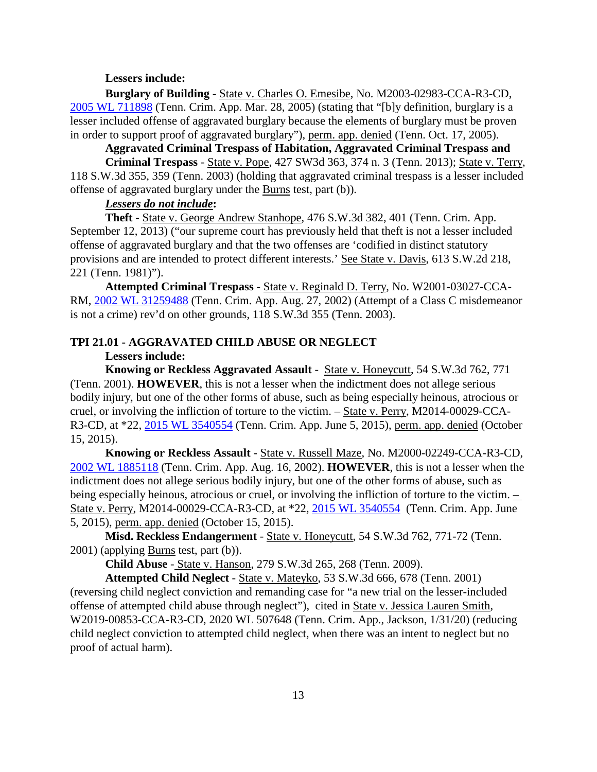#### **Lessers include:**

**Burglary of Building** - State v. Charles O. Emesibe, No. M2003-02983-CCA-R3-CD, [2005 WL 711898](https://1.next.westlaw.com/Document/I5089c55eeb4411d9bf60c1d57ebc853e/View/FullText.html?transitionType=UniqueDocItem&contextData=(sc.Search)&userEnteredCitation=2005+WL+711898) (Tenn. Crim. App. Mar. 28, 2005) (stating that "[b]y definition, burglary is a lesser included offense of aggravated burglary because the elements of burglary must be proven in order to support proof of aggravated burglary"), perm. app. denied (Tenn. Oct. 17, 2005).

**Aggravated Criminal Trespass of Habitation, Aggravated Criminal Trespass and** 

**Criminal Trespass** - State v. Pope, 427 SW3d 363, 374 n. 3 (Tenn. 2013); State v. Terry, 118 S.W.3d 355, 359 (Tenn. 2003) (holding that aggravated criminal trespass is a lesser included offense of aggravated burglary under the Burns test, part (b)).

# *Lessers do not include***:**

**Theft -** State v. George Andrew Stanhope, 476 S.W.3d 382, 401 (Tenn. Crim. App. September 12, 2013) ("our supreme court has previously held that theft is not a lesser included offense of aggravated burglary and that the two offenses are 'codified in distinct statutory provisions and are intended to protect different interests.' See State v. Davis, 613 S.W.2d 218, 221 (Tenn. 1981)").

**Attempted Criminal Trespass** - State v. Reginald D. Terry, No. W2001-03027-CCA-RM, [2002 WL 31259488](https://1.next.westlaw.com/Document/I5d0b9194ea9b11d99439b076ef9ec4de/View/FullText.html?transitionType=UniqueDocItem&contextData=(sc.History*oc.DocLink)&userEnteredCitation=2002+WL+31259488) (Tenn. Crim. App. Aug. 27, 2002) (Attempt of a Class C misdemeanor is not a crime) rev'd on other grounds, 118 S.W.3d 355 (Tenn. 2003).

# **TPI 21.01 - AGGRAVATED CHILD ABUSE OR NEGLECT**

### **Lessers include:**

**Knowing or Reckless Aggravated Assault** - State v. Honeycutt, 54 S.W.3d 762, 771 (Tenn. 2001). **HOWEVER**, this is not a lesser when the indictment does not allege serious bodily injury, but one of the other forms of abuse, such as being especially heinous, atrocious or cruel, or involving the infliction of torture to the victim. – State v. Perry, M2014-00029-CCA-R3-CD, at \*22, [2015 WL 3540554](https://1.next.westlaw.com/Document/Ie8f471100bb811e599358612e0bf9496/View/FullText.html?transitionType=UniqueDocItem&contextData=(sc.Search)&userEnteredCitation=2015+WL+3540554) (Tenn. Crim. App. June 5, 2015), perm. app. denied (October 15, 2015).

**Knowing or Reckless Assault** - State v. Russell Maze, No. M2000-02249-CCA-R3-CD, [2002 WL 1885118](https://1.next.westlaw.com/Document/I5d122141ea9b11d99439b076ef9ec4de/View/FullText.html?transitionType=UniqueDocItem&contextData=(sc.DocLink)&userEnteredCitation=2002+WL+1885118) (Tenn. Crim. App. Aug. 16, 2002). **HOWEVER**, this is not a lesser when the indictment does not allege serious bodily injury, but one of the other forms of abuse, such as being especially heinous, atrocious or cruel, or involving the infliction of torture to the victim.  $\overline{-}$ State v. Perry, M2014-00029-CCA-R3-CD, at \*22, [2015 WL 3540554](https://1.next.westlaw.com/Document/Ie8f471100bb811e599358612e0bf9496/View/FullText.html?transitionType=UniqueDocItem&contextData=(sc.Search)&userEnteredCitation=2015+WL+3540554) (Tenn. Crim. App. June 5, 2015), perm. app. denied (October 15, 2015).

**Misd. Reckless Endangerment** - State v. Honeycutt, 54 S.W.3d 762, 771-72 (Tenn. 2001) (applying Burns test, part (b)).

**Child Abuse** - State v. Hanson, 279 S.W.3d 265, 268 (Tenn. 2009).

**Attempted Child Neglect** - State v. Mateyko, 53 S.W.3d 666, 678 (Tenn. 2001) (reversing child neglect conviction and remanding case for "a new trial on the lesser-included offense of attempted child abuse through neglect"), cited in State v. Jessica Lauren Smith, W2019-00853-CCA-R3-CD, 2020 WL 507648 (Tenn. Crim. App., Jackson, 1/31/20) (reducing child neglect conviction to attempted child neglect, when there was an intent to neglect but no proof of actual harm).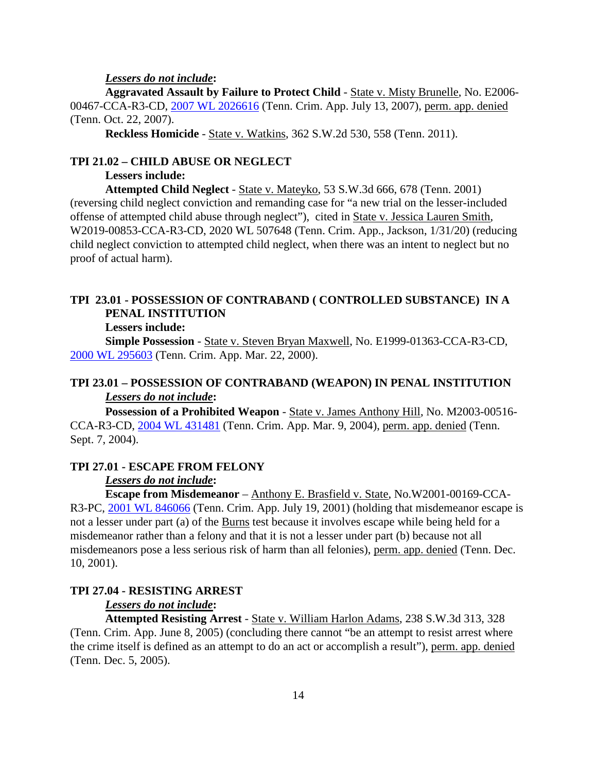#### *Lessers do not include***:**

**Aggravated Assault by Failure to Protect Child** - State v. Misty Brunelle, No. E2006- 00467-CCA-R3-CD, [2007 WL 2026616](https://1.next.westlaw.com/Document/Iaf4470c6338411dc962ef0ed15906072/View/FullText.html?transitionType=UniqueDocItem&contextData=(sc.Search)&userEnteredCitation=2007+WL+2026616) (Tenn. Crim. App. July 13, 2007), perm. app. denied (Tenn. Oct. 22, 2007).

**Reckless Homicide** - State v. Watkins, 362 S.W.2d 530, 558 (Tenn. 2011).

### **TPI 21.02 – CHILD ABUSE OR NEGLECT**

#### **Lessers include:**

**Attempted Child Neglect** - State v. Mateyko, 53 S.W.3d 666, 678 (Tenn. 2001) (reversing child neglect conviction and remanding case for "a new trial on the lesser-included offense of attempted child abuse through neglect"), cited in State v. Jessica Lauren Smith, W2019-00853-CCA-R3-CD, 2020 WL 507648 (Tenn. Crim. App., Jackson, 1/31/20) (reducing child neglect conviction to attempted child neglect, when there was an intent to neglect but no proof of actual harm).

# **TPI 23.01 - POSSESSION OF CONTRABAND ( CONTROLLED SUBSTANCE) IN A PENAL INSTITUTION**

**Lessers include:**

**Simple Possession** - State v. Steven Bryan Maxwell, No. E1999-01363-CCA-R3-CD, [2000 WL 295603](https://1.next.westlaw.com/Document/Ida771114ea8011d983e7e9deff98dc6f/View/FullText.html?transitionType=UniqueDocItem&contextData=(sc.Search)&userEnteredCitation=2000+WL+295603) (Tenn. Crim. App. Mar. 22, 2000).

### **TPI 23.01 – POSSESSION OF CONTRABAND (WEAPON) IN PENAL INSTITUTION** *Lessers do not include***:**

**Possession of a Prohibited Weapon** - State v. James Anthony Hill, No. M2003-00516- CCA-R3-CD, [2004 WL 431481](https://1.next.westlaw.com/Document/Id6b97120ea7911d9b386b232635db992/View/FullText.html?transitionType=UniqueDocItem&contextData=(sc.Search)&userEnteredCitation=2004+WL+431481) (Tenn. Crim. App. Mar. 9, 2004), perm. app. denied (Tenn. Sept. 7, 2004).

### **TPI 27.01 - ESCAPE FROM FELONY**

### *Lessers do not include***:**

**Escape from Misdemeanor** – Anthony E. Brasfield v. State, No.W2001-00169-CCA-R3-PC, [2001 WL 846066](https://1.next.westlaw.com/Document/I69271c55ea7e11d98ac8f235252e36df/View/FullText.html?transitionType=UniqueDocItem&contextData=(sc.Search)&userEnteredCitation=2001+WL+846066) (Tenn. Crim. App. July 19, 2001) (holding that misdemeanor escape is not a lesser under part (a) of the Burns test because it involves escape while being held for a misdemeanor rather than a felony and that it is not a lesser under part (b) because not all misdemeanors pose a less serious risk of harm than all felonies), perm. app. denied (Tenn. Dec. 10, 2001).

### **TPI 27.04 - RESISTING ARREST**

### *Lessers do not include***:**

**Attempted Resisting Arrest** - State v. William Harlon Adams, 238 S.W.3d 313, 328 (Tenn. Crim. App. June 8, 2005) (concluding there cannot "be an attempt to resist arrest where the crime itself is defined as an attempt to do an act or accomplish a result"), perm. app. denied (Tenn. Dec. 5, 2005).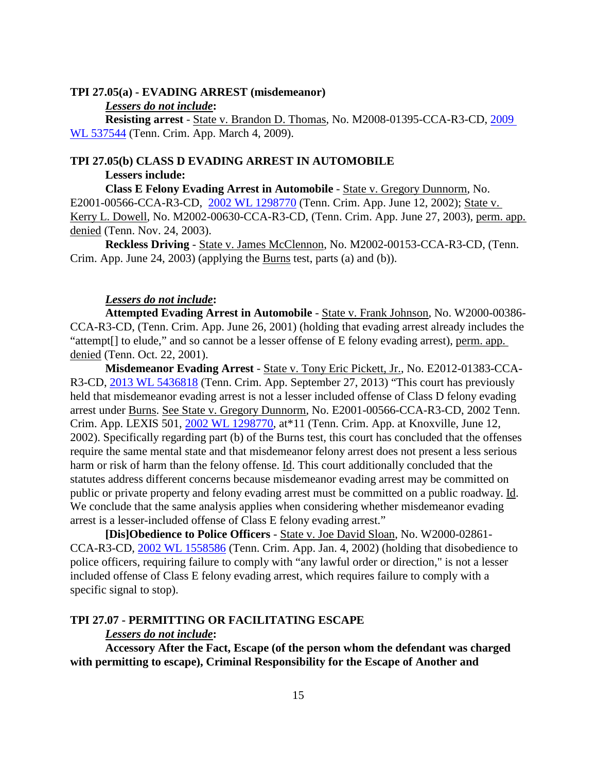### **TPI 27.05(a) - EVADING ARREST (misdemeanor)**

#### *Lessers do not include***:**

**Resisting arrest** - State v. Brandon D. Thomas, No. M2008-01395-CCA-R3-CD, [2009](https://1.next.westlaw.com/Document/If48a74c3090311debc7bf97f340af743/View/FullText.html?transitionType=UniqueDocItem&contextData=(sc.Search)&userEnteredCitation=2009+WL+537544)  [WL 537544](https://1.next.westlaw.com/Document/If48a74c3090311debc7bf97f340af743/View/FullText.html?transitionType=UniqueDocItem&contextData=(sc.Search)&userEnteredCitation=2009+WL+537544) (Tenn. Crim. App. March 4, 2009).

### **TPI 27.05(b) CLASS D EVADING ARREST IN AUTOMOBILE**

#### **Lessers include:**

**Class E Felony Evading Arrest in Automobile** - State v. Gregory Dunnorm, No. E2001-00566-CCA-R3-CD, [2002 WL 1298770](https://1.next.westlaw.com/Document/I8b8a8897ea9c11d98ac8f235252e36df/View/FullText.html?transitionType=UniqueDocItem&contextData=(sc.DocLink)&userEnteredCitation=2002+WL+1298770) (Tenn. Crim. App. June 12, 2002); State v. Kerry L. Dowell, No. M2002-00630-CCA-R3-CD, (Tenn. Crim. App. June 27, 2003), perm. app. denied (Tenn. Nov. 24, 2003).

**Reckless Driving** - State v. James McClennon, No. M2002-00153-CCA-R3-CD, (Tenn. Crim. App. June 24, 2003) (applying the Burns test, parts (a) and (b)).

#### *Lessers do not include***:**

**Attempted Evading Arrest in Automobile** - State v. Frank Johnson, No. W2000-00386- CCA-R3-CD, (Tenn. Crim. App. June 26, 2001) (holding that evading arrest already includes the "attempt[] to elude," and so cannot be a lesser offense of E felony evading arrest), perm. app. denied (Tenn. Oct. 22, 2001).

**Misdemeanor Evading Arrest** - State v. Tony Eric Pickett, Jr., No. E2012-01383-CCA-R3-CD, [2013 WL 5436818](https://1.next.westlaw.com/Document/I37a082c92aff11e380938e6f51729d80/View/FullText.html?navigationPath=Search%2Fv3%2Fsearch%2Fresults%2Fnavigation%2Fi0ad740370000015b59749d8f3f1dae3d%3FNav%3DCASE%26fragmentIdentifier%3DI37a082c92aff11e380938e6f51729d80%26startIndex%3D1%26contextData%3D%2528sc.Search%2529%26transitionType%3DSearchItem&listSource=Search&listPageSource=8fa2ac43e5096230710e0072bd4654d3&list=ALL&rank=1&sessionScopeId=20c91c4025367a0b3dd0ef20ada1d8dff1b88be3ed1181fa1a4c2c2b24383e1e&originationContext=Search%20Result&transitionType=SearchItem&contextData=%28sc.Search%29) (Tenn. Crim. App. September 27, 2013) "This court has previously held that misdemeanor evading arrest is not a lesser included offense of Class D felony evading arrest under Burns. See State v. Gregory Dunnorm, No. E2001-00566-CCA-R3-CD, 2002 Tenn. Crim. App. LEXIS 501, [2002 WL 1298770,](https://1.next.westlaw.com/Document/I8b8a8897ea9c11d98ac8f235252e36df/View/FullText.html?transitionType=UniqueDocItem&contextData=(sc.DocLink)&userEnteredCitation=2002+WL+1298770) at\*11 (Tenn. Crim. App. at Knoxville, June 12, 2002). Specifically regarding part (b) of the Burns test, this court has concluded that the offenses require the same mental state and that misdemeanor felony arrest does not present a less serious harm or risk of harm than the felony offense. Id. This court additionally concluded that the statutes address different concerns because misdemeanor evading arrest may be committed on public or private property and felony evading arrest must be committed on a public roadway. Id. We conclude that the same analysis applies when considering whether misdemeanor evading arrest is a lesser-included offense of Class E felony evading arrest."

**[Dis]Obedience to Police Officers** - State v. Joe David Sloan, No. W2000-02861- CCA-R3-CD, [2002 WL 1558586](https://1.next.westlaw.com/Document/I8b829951ea9c11d98ac8f235252e36df/View/FullText.html?transitionType=UniqueDocItem&contextData=(sc.Search)&userEnteredCitation=2002+WL+1558586) (Tenn. Crim. App. Jan. 4, 2002) (holding that disobedience to police officers, requiring failure to comply with "any lawful order or direction," is not a lesser included offense of Class E felony evading arrest, which requires failure to comply with a specific signal to stop).

#### **TPI 27.07 - PERMITTING OR FACILITATING ESCAPE**

### *Lessers do not include***:**

**Accessory After the Fact, Escape (of the person whom the defendant was charged with permitting to escape), Criminal Responsibility for the Escape of Another and**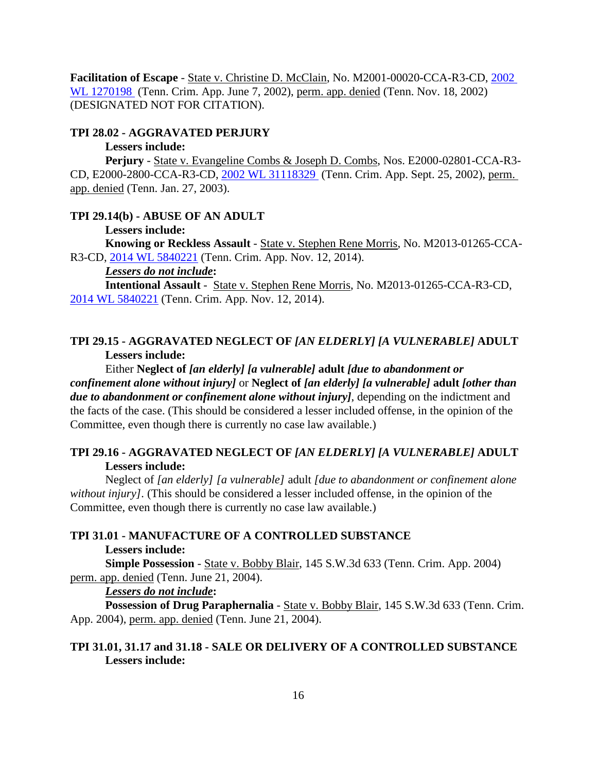**Facilitation of Escape** - State v. Christine D. McClain, No. M2001-00020-CCA-R3-CD, [2002](https://1.next.westlaw.com/Document/I5d1cf6baea9b11d99439b076ef9ec4de/View/FullText.html?transitionType=UniqueDocItem&contextData=(sc.Search)&userEnteredCitation=2002+WL+1270198)  [WL 1270198](https://1.next.westlaw.com/Document/I5d1cf6baea9b11d99439b076ef9ec4de/View/FullText.html?transitionType=UniqueDocItem&contextData=(sc.Search)&userEnteredCitation=2002+WL+1270198) (Tenn. Crim. App. June 7, 2002), perm. app. denied (Tenn. Nov. 18, 2002) (DESIGNATED NOT FOR CITATION).

#### **TPI 28.02 - AGGRAVATED PERJURY**

### **Lessers include:**

**Perjury** - State v. Evangeline Combs & Joseph D. Combs, Nos. E2000-02801-CCA-R3- CD, E2000-2800-CCA-R3-CD, [2002 WL 31118329](https://1.next.westlaw.com/Document/I5d0d8d6bea9b11d99439b076ef9ec4de/View/FullText.html?transitionType=UniqueDocItem&contextData=(sc.Search)&userEnteredCitation=2002+WL+31118329) (Tenn. Crim. App. Sept. 25, 2002), perm. app. denied (Tenn. Jan. 27, 2003).

#### **TPI 29.14(b) - ABUSE OF AN ADULT**

#### **Lessers include:**

**Knowing or Reckless Assault** - State v. Stephen Rene Morris, No. M2013-01265-CCA-R3-CD, [2014 WL 5840221](https://1.next.westlaw.com/Document/I2a8c96386a4d11e49488c8f438320c70/View/FullText.html?transitionType=UniqueDocItem&contextData=(sc.Search)&userEnteredCitation=2014+WL+5840221) (Tenn. Crim. App. Nov. 12, 2014).

#### *Lessers do not include***:**

**Intentional Assault** - State v. Stephen Rene Morris, No. M2013-01265-CCA-R3-CD, [2014 WL 5840221](https://1.next.westlaw.com/Document/I2a8c96386a4d11e49488c8f438320c70/View/FullText.html?transitionType=UniqueDocItem&contextData=(sc.Search)&userEnteredCitation=2014+WL+5840221) (Tenn. Crim. App. Nov. 12, 2014).

### **TPI 29.15 - AGGRAVATED NEGLECT OF** *[AN ELDERLY] [A VULNERABLE]* **ADULT Lessers include:**

Either **Neglect of** *[an elderly] [a vulnerable]* **adult** *[due to abandonment or confinement alone without injury]* or **Neglect of** *[an elderly] [a vulnerable]* **adult** *[other than due to abandonment or confinement alone without injury]*, depending on the indictment and the facts of the case. (This should be considered a lesser included offense, in the opinion of the Committee, even though there is currently no case law available.)

### **TPI 29.16 - AGGRAVATED NEGLECT OF** *[AN ELDERLY] [A VULNERABLE]* **ADULT Lessers include:**

Neglect of *[an elderly] [a vulnerable]* adult *[due to abandonment or confinement alone without injury].* (This should be considered a lesser included offense, in the opinion of the Committee, even though there is currently no case law available.)

#### **TPI 31.01 - MANUFACTURE OF A CONTROLLED SUBSTANCE**

#### **Lessers include:**

**Simple Possession** - State v. Bobby Blair, 145 S.W.3d 633 (Tenn. Crim. App. 2004) perm. app. denied (Tenn. June 21, 2004).

#### *Lessers do not include***:**

**Possession of Drug Paraphernalia** - State v. Bobby Blair, 145 S.W.3d 633 (Tenn. Crim. App. 2004), perm. app. denied (Tenn. June 21, 2004).

### **TPI 31.01, 31.17 and 31.18 - SALE OR DELIVERY OF A CONTROLLED SUBSTANCE Lessers include:**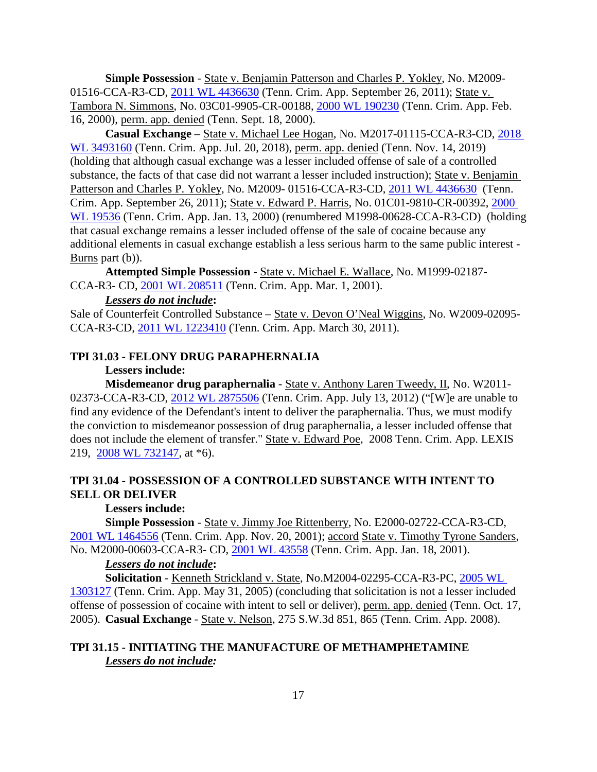**Simple Possession** - State v. Benjamin Patterson and Charles P. Yokley, No. M2009- 01516-CCA-R3-CD, [2011 WL 4436630](https://1.next.westlaw.com/Document/Id2e24724e84f11e0bc27967e57e99458/View/FullText.html?transitionType=UniqueDocItem&contextData=(sc.Search)&userEnteredCitation=2011+WL+4436630) (Tenn. Crim. App. September 26, 2011); State v. Tambora N. Simmons, No. 03C01-9905-CR-00188, [2000 WL 190230](https://1.next.westlaw.com/Document/I68fa670bea7e11d98ac8f235252e36df/View/FullText.html?transitionType=UniqueDocItem&contextData=(sc.Search)&userEnteredCitation=2000+WL+190230) (Tenn. Crim. App. Feb. 16, 2000), perm. app. denied (Tenn. Sept. 18, 2000).

**Casual Exchange** – State v. Michael Lee Hogan, No. M2017-01115-CCA-R3-CD, [2018](https://1.next.westlaw.com/Document/Ib9d743f08cd711e8a5b89e7029628dd3/View/FullText.html?transitionType=UniqueDocItem&contextData=(sc.History*oc.UserEnteredCitation)&userEnteredCitation=2018+WL+3493160)  [WL 3493160](https://1.next.westlaw.com/Document/Ib9d743f08cd711e8a5b89e7029628dd3/View/FullText.html?transitionType=UniqueDocItem&contextData=(sc.History*oc.UserEnteredCitation)&userEnteredCitation=2018+WL+3493160) (Tenn. Crim. App. Jul. 20, 2018), perm. app. denied (Tenn. Nov. 14, 2019) (holding that although casual exchange was a lesser included offense of sale of a controlled substance, the facts of that case did not warrant a lesser included instruction); State v. Benjamin Patterson and Charles P. Yokley, No. M2009- 01516-CCA-R3-CD, [2011 WL 4436630](https://1.next.westlaw.com/Document/Id2e24724e84f11e0bc27967e57e99458/View/FullText.html?transitionType=UniqueDocItem&contextData=(sc.Search)&userEnteredCitation=2011+WL+4436630) (Tenn. Crim. App. September 26, 2011); State v. Edward P. Harris, No. 01C01-9810-CR-00392, [2000](https://1.next.westlaw.com/Document/Ida88c451ea8011d983e7e9deff98dc6f/View/FullText.html?transitionType=UniqueDocItem&contextData=(sc.Search)&userEnteredCitation=2000+WL+19536)  [WL 19536](https://1.next.westlaw.com/Document/Ida88c451ea8011d983e7e9deff98dc6f/View/FullText.html?transitionType=UniqueDocItem&contextData=(sc.Search)&userEnteredCitation=2000+WL+19536) (Tenn. Crim. App. Jan. 13, 2000) (renumbered M1998-00628-CCA-R3-CD) (holding that casual exchange remains a lesser included offense of the sale of cocaine because any additional elements in casual exchange establish a less serious harm to the same public interest - Burns part (b)).

**Attempted Simple Possession** - State v. Michael E. Wallace, No. M1999-02187- CCA-R3- CD, [2001 WL 208511](https://1.next.westlaw.com/Document/I8903a4bbea9e11d9b386b232635db992/View/FullText.html?transitionType=UniqueDocItem&contextData=(sc.Search)&userEnteredCitation=2001+WL+208511) (Tenn. Crim. App. Mar. 1, 2001).

### *Lessers do not include***:**

Sale of Counterfeit Controlled Substance - State v. Devon O'Neal Wiggins, No. W2009-02095-CCA-R3-CD, [2011 WL 1223410](https://1.next.westlaw.com/Document/Iefbe77e45eba11e0a8a2938374af9660/View/FullText.html?transitionType=UniqueDocItem&contextData=(sc.Search)&userEnteredCitation=2011+WL+1223410) (Tenn. Crim. App. March 30, 2011).

### **TPI 31.03 - FELONY DRUG PARAPHERNALIA**

#### **Lessers include:**

**Misdemeanor drug paraphernalia** - State v. Anthony Laren Tweedy, II, No. W2011- 02373-CCA-R3-CD, [2012 WL 2875506](https://1.next.westlaw.com/Document/Id1687b94cf5911e191598982704508d1/View/FullText.html?transitionType=UniqueDocItem&contextData=(sc.Search)&userEnteredCitation=2012+WL+2875506) (Tenn. Crim. App. July 13, 2012) ("[W] e are unable to find any evidence of the Defendant's intent to deliver the paraphernalia. Thus, we must modify the conviction to misdemeanor possession of drug paraphernalia, a lesser included offense that does not include the element of transfer." State v. Edward Poe, 2008 Tenn. Crim. App. LEXIS 219, [2008 WL 732147,](https://1.next.westlaw.com/Document/Ic1f10674f67411dcb6a3a099756c05b7/View/FullText.html?transitionType=UniqueDocItem&contextData=(sc.UserEnteredCitation)&userEnteredCitation=2008+WL+732147) at \*6).

# **TPI 31.04 - POSSESSION OF A CONTROLLED SUBSTANCE WITH INTENT TO SELL OR DELIVER**

# **Lessers include:**

**Simple Possession** - State v. Jimmy Joe Rittenberry, No. E2000-02722-CCA-R3-CD, [2001 WL 1464556](https://1.next.westlaw.com/Document/I690bf339ea7e11d98ac8f235252e36df/View/FullText.html?transitionType=UniqueDocItem&contextData=(sc.Search)&userEnteredCitation=2001+WL+1464556) (Tenn. Crim. App. Nov. 20, 2001); accord State v. Timothy Tyrone Sanders, No. M2000-00603-CCA-R3- CD, [2001 WL 43558](https://1.next.westlaw.com/Document/I89079c54ea9e11d9b386b232635db992/View/FullText.html?transitionType=UniqueDocItem&contextData=(sc.DocLink)&userEnteredCitation=2001+WL+43558) (Tenn. Crim. App. Jan. 18, 2001).

#### *Lessers do not include***:**

**Solicitation** - Kenneth Strickland v. State, No.M2004-02295-CCA-R3-PC, [2005 WL](https://1.next.westlaw.com/Document/I567cf8e21a4411da8cc9b4c14e983401/View/FullText.html?transitionType=UniqueDocItem&contextData=(sc.Search)&userEnteredCitation=2005+WL+1303127)  [1303127](https://1.next.westlaw.com/Document/I567cf8e21a4411da8cc9b4c14e983401/View/FullText.html?transitionType=UniqueDocItem&contextData=(sc.Search)&userEnteredCitation=2005+WL+1303127) (Tenn. Crim. App. May 31, 2005) (concluding that solicitation is not a lesser included offense of possession of cocaine with intent to sell or deliver), perm. app. denied (Tenn. Oct. 17, 2005). **Casual Exchange** - State v. Nelson, 275 S.W.3d 851, 865 (Tenn. Crim. App. 2008).

### **TPI 31.15 - INITIATING THE MANUFACTURE OF METHAMPHETAMINE** *Lessers do not include:*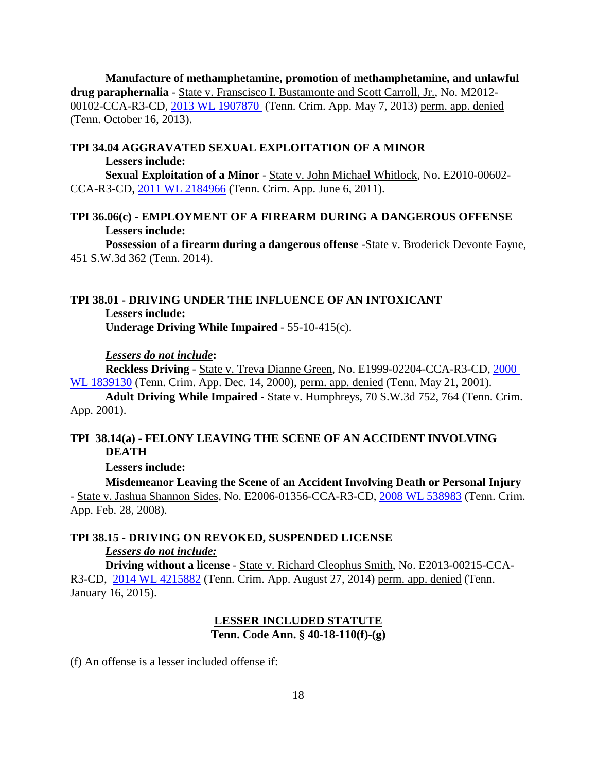**Manufacture of methamphetamine, promotion of methamphetamine, and unlawful drug paraphernalia** - State v. Franscisco I. Bustamonte and Scott Carroll, Jr., No. M2012- 00102-CCA-R3-CD, [2013 WL 1907870](https://1.next.westlaw.com/Document/I957758fab89911e2a98ec867961a22de/View/FullText.html?navigationPath=Search%2Fv3%2Fsearch%2Fresults%2Fnavigation%2Fi0ad6ad3a0000015b5af604388828fdf8%3FNav%3DCASE%26fragmentIdentifier%3DI957758fab89911e2a98ec867961a22de%26startIndex%3D1%26contextData%3D%2528sc.Search%2529%26transitionType%3DSearchItem&listSource=Search&listPageSource=623f19a03092e8d5b05feb23681d78fc&list=ALL&rank=1&sessionScopeId=1d610312e4108a6f303431f25110c3e89b18b382a487ee14c9ebd5d145529be3&originationContext=Search%20Result&transitionType=SearchItem&contextData=%28sc.Search%29) (Tenn. Crim. App. May 7, 2013) perm. app. denied (Tenn. October 16, 2013).

# **TPI 34.04 AGGRAVATED SEXUAL EXPLOITATION OF A MINOR**

**Lessers include:**

**Sexual Exploitation of a Minor** - State v. John Michael Whitlock, No. E2010-00602- CCA-R3-CD, [2011 WL 2184966](https://1.next.westlaw.com/Document/If7a2964f912511e0af6af9916f973d19/View/FullText.html?transitionType=UniqueDocItem&contextData=(sc.DocLink)&userEnteredCitation=2011+WL+2184966) (Tenn. Crim. App. June 6, 2011).

### **TPI 36.06(c) - EMPLOYMENT OF A FIREARM DURING A DANGEROUS OFFENSE Lessers include:**

Possession of a firearm during a dangerous offense -State v. Broderick Devonte Fayne, 451 S.W.3d 362 (Tenn. 2014).

### **TPI 38.01 - DRIVING UNDER THE INFLUENCE OF AN INTOXICANT Lessers include: Underage Driving While Impaired** - 55-10-415(c).

*Lessers do not include***:**

**Reckless Driving** - State v. Treva Dianne Green, No. E1999-02204-CCA-R3-CD, [2000](https://1.next.westlaw.com/Document/Id3f1eeccea8811d983e7e9deff98dc6f/View/FullText.html?transitionType=UniqueDocItem&contextData=(sc.Search)&userEnteredCitation=2000+WL+1839130)  [WL 1839130](https://1.next.westlaw.com/Document/Id3f1eeccea8811d983e7e9deff98dc6f/View/FullText.html?transitionType=UniqueDocItem&contextData=(sc.Search)&userEnteredCitation=2000+WL+1839130) (Tenn. Crim. App. Dec. 14, 2000), perm. app. denied (Tenn. May 21, 2001).

**Adult Driving While Impaired** - State v. Humphreys, 70 S.W.3d 752, 764 (Tenn. Crim. App. 2001).

### **TPI 38.14(a) - FELONY LEAVING THE SCENE OF AN ACCIDENT INVOLVING DEATH**

**Lessers include:**

**Misdemeanor Leaving the Scene of an Accident Involving Death or Personal Injury** - State v. Jashua Shannon Sides, No. E2006-01356-CCA-R3-CD, [2008 WL 538983](https://1.next.westlaw.com/Document/I265d030ce6d311dc8dba9deb08599717/View/FullText.html?transitionType=UniqueDocItem&contextData=(sc.DocLink)&userEnteredCitation=2008+WL+538983) (Tenn. Crim. App. Feb. 28, 2008).

### **TPI 38.15 - DRIVING ON REVOKED, SUSPENDED LICENSE** *Lessers do not include:*

**Driving without a license** - State v. Richard Cleophus Smith, No. E2013-00215-CCA-R3-CD, [2014 WL 4215882](https://1.next.westlaw.com/Document/I123749412e7211e490d4edf60ce7d742/View/FullText.html?transitionType=UniqueDocItem&contextData=(sc.DocLink)&userEnteredCitation=2014+WL+4215882) (Tenn. Crim. App. August 27, 2014) perm. app. denied (Tenn. January 16, 2015).

# **LESSER INCLUDED STATUTE Tenn. Code Ann. § 40-18-110(f)-(g)**

(f) An offense is a lesser included offense if: